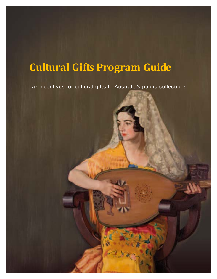# **Cultural Gifts Program Guide**

Tax incentives for cultural gifts to Australia's public collections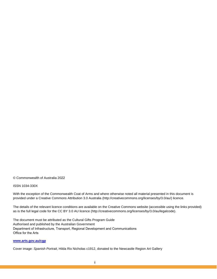#### © Commonwealth of Australia 2022

#### ISSN 1034-330X

With the exception of the Commonwealth Coat of Arms and where otherwise noted all material presented in this document is provided under a Creative Commons Attribution 3.0 Australia [\(http://creativecommons.org/licenses/by/3.0/au/\) lice](http://creativecommons.org/licenses/by/3.0/au/)nce.

The details of the relevant licence conditions are available on the Creative Commons website (accessible using the links provided) as is the full legal code for the CC BY 3.0 AU licence ([http://creativecommons.org/licenses/by/3.0/au/legalcode\).](http://creativecommons.org/licenses/by/3.0/au/legalcode) 

The document must be attributed as the Cultural Gifts Program Guide Authorised and published by the Australian Government Department of Infrastructure, Transport, Regional Development and Communications Office for the Arts

#### **[www.arts.gov.au/cgp](http://www.arts.gov.au/cgp)**

Cover image: *Spanish Portrait*, Hilda Rix Nicholas c1912, donated to the Newcastle Region Art Gallery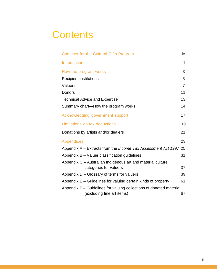# **Contents**

| <b>Contacts for the Cultural Gifts Program</b>                                        | iv             |
|---------------------------------------------------------------------------------------|----------------|
| <b>Introduction</b>                                                                   | 1              |
| How the program works                                                                 | 3              |
| <b>Recipient institutions</b>                                                         | 3              |
| Valuers                                                                               | $\overline{7}$ |
| Donors                                                                                | 11             |
| <b>Technical Advice and Expertise</b>                                                 | 13             |
| Summary chart—How the program works                                                   | 14             |
| Acknowledging government support                                                      | 17             |
| Limitations on tax deductions                                                         | 19             |
| Donations by artists and/or dealers                                                   | 21             |
| <b>Appendices</b>                                                                     | 23             |
| Appendix A – Extracts from the Income Tax Assessment Act 1997 25                      |                |
| Appendix B - Valuer classification guidelines                                         | 31             |
| Appendix C - Australian Indigenous art and material culture<br>categories for valuers | 37             |
| Appendix D - Glossary of terms for valuers                                            | 39             |
| Appendix $E -$ Guidelines for valuing certain kinds of property                       | 61             |
| Appendix F – Guidelines for valuing collections of donated material                   |                |
| (excluding fine art items)                                                            | 67             |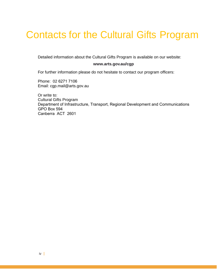# Contacts for the Cultural Gifts Program

Detailed information about the Cultural Gifts Program is available on our website:

#### **[www.arts.gov.au/cgp](http://www.arts.gov.au/cgp)**

For further information please do not hesitate to contact our program officers:

Phone: 02 6271 7106 Email: [cgp.mail@arts.gov.au](mailto:cgp.mail@arts.gov.au) 

Or write to: Cultural Gifts Program Department of Infrastructure, Transport, Regional Development and Communications GPO Box 594 Canberra ACT 2601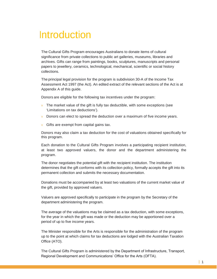# Introduction

The Cultural Gifts Program encourages Australians to donate items of cultural significance from private collections to public art galleries, museums, libraries and archives. Gifts can range from paintings, books, sculptures, manuscripts and personal papers to jewellery, ceramics, technological, mechanical, scientific or social history collections.

The principal legal provision for the program is subdivision 30-A of the Income Tax Assessment Act 1997 (the Act). An edited extract of the relevant sections of the Act is at Appendix A of this guide.

Donors are eligible for the following tax incentives under the program:

- $\bf{w}$  The market value of the gift is fully tax deductible, with some exceptions (see 'Limitations on tax deductions').
- w Donors can elect to spread the deduction over a maximum of five income years.
- $w$  Gifts are exempt from capital gains tax.

Donors may also claim a tax deduction for the cost of valuations obtained specifically for this program.

Each donation to the Cultural Gifts Program involves a participating recipient institution, at least two approved valuers, the donor and the department administering the program.

The donor negotiates the potential gift with the recipient institution. The institution determines that the gift conforms with its collection policy, formally accepts the gift into its permanent collection and submits the necessary documentation.

Donations must be accompanied by at least two valuations of the current market value of the gift, provided by approved valuers.

Valuers are approved specifically to participate in the program by the Secretary of the department administering the program.

The average of the valuations may be claimed as a tax deduction, with some exceptions, for the year in which the gift was made or the deduction may be apportioned over a period of up to five income years.

The Minister responsible for the Arts is responsible for the administration of the program up to the point at which claims for tax deductions are lodged with the Australian Taxation Office (ATO).

The Cultural Gifts Program is administered by the Department of Infrastructure, Transport, Regional Development and Communications' Office for the Arts (OFTA).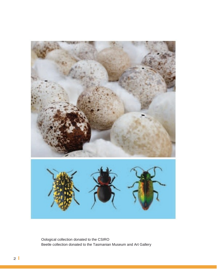

Oological collection donated to the CSIRO Beetle collection donated to the Tasmanian Museum and Art Gallery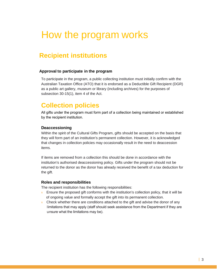# How the program works

## **Recipient institutions**

### **Approval to participate in the program**

To participate in the program, a public collecting institution must initially confirm with the Australian Taxation Office (ATO) that it is endorsed as a Deductible Gift Recipient (DGR) as a public art gallery, museum or library (including archives) for the purposes of subsection 30-15(1), item 4 of the Act.

## **Collection policies**

All gifts under the program must form part of a collection being maintained or established by the recipient institution.

#### **Deaccessioning**

Within the spirit of the Cultural Gifts Program, gifts should be accepted on the basis that they will form part of an institution's permanent collection. However, it is acknowledged that changes in collection policies may occasionally result in the need to deaccession items.

If items are removed from a collection this should be done in accordance with the institution's authorised deaccessioning policy. Gifts under the program should not be returned to the donor as the donor has already received the benefit of a tax deduction for the gift.

#### **Roles and responsibilities**

The recipient institution has the following responsibilities:

- $\mathbf w$  Ensure the proposed gift conforms with the institution's collection policy, that it will be of ongoing value and formally accept the gift into its permanent collection.
- w Check whether there are conditions attached to the gift and advise the donor of any limitations that may apply (staff should seek assistance from the Department if they are unsure what the limitations may be).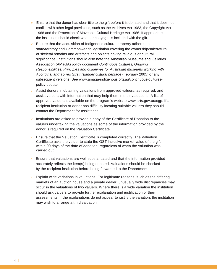- Ensure that the donor has clear title to the gift before it is donated and that it does not conflict with other legal provisions, such as the Archives Act 1983, the Copyright Act 1968 and the Protection of Moveable Cultural Heritage Act 1986. If appropriate, the institution should check whether copyright is included with the gift.
- Ensure that the acquisition of Indigenous cultural property adheres to state/territory and Commonwealth legislation covering the ownership/sale/return of skeletal remains and artefacts and objects having religious or cultural significance. Institutions should also note the Australian Museums and Galleries Association (AMaGA) policy document *Continuous Cultures, Ongoing Responsibilities: Principles and guidelines for Australian museums working with Aboriginal and Torres Strait Islander cultural heritage* (February 2005) or any subsequent versions. See www.a[maga-indigenous.org.au/continuous-cultures](http://www.amaga-indigenous.org.au/continuous-cultures-policy-update)[policy-update](http://www.amaga-indigenous.org.au/continuous-cultures-policy-update)
- w Assist donors in obtaining valuations from approved valuers, as required, and assist valuers with information that may help them in their valuations. A list of approved valuers is available on the program's websit[e www.arts.gov.au/cgp. I](http://www.arts.gov.au/cgp)f a recipient institution or donor has difficulty locating suitable valuers they should contact the Department for assistance.
- Institutions are asked to provide a copy of the Certificate of Donation to the valuers undertaking the valuations as some of the information provided by the donor is required on the Valuation Certificate.
- w Ensure that the Valuation Certificate is completed correctly. The Valuation Certificate asks the valuer to state the GST inclusive market value of the gift within 90 days of the date of donation, regardless of when the valuation was carried out.
- w Ensure that valuations are well substantiated and that the information provided accurately reflects the item(s) being donated. Valuations should be checked by the recipient institution before being forwarded to the Department.
- $\bf{w}$  Explain wide variations in valuations. For legitimate reasons, such as the differing markets of an auction house and a private dealer, unusually wide discrepancies may occur in the valuations of two valuers. Where there is a wide variation the institution should ask valuers to provide further explanation and justification of their assessments. If the explanations do not appear to justify the variation, the institution may wish to arrange a third valuation.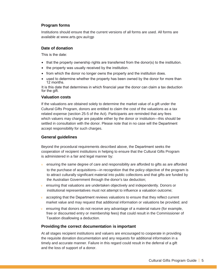## **Program forms**

Institutions should ensure that the current versions of all forms are used. All forms are available at [www.arts.gov.au/cgp](http://www.arts.gov.au/cgp)

## **Date of donation**

This is the date:

- that the property ownership rights are transferred from the donor(s) to the institution.
- the property was usually received by the institution.
- from which the donor no longer owns the property and the institution does.
- used to determine whether the property has been owned by the donor for more than 12 months.

It is this date that determines in which financial year the donor can claim a tax deduction for the gift.

#### **Valuation costs**

If the valuations are obtained solely to determine the market value of a gift under the Cultural Gifts Program, donors are entitled to claim the cost of the valuations as a tax related expense (section 25-5 of the Act). Participants are reminded that any fees which valuers may charge are payable either by the donor or institution—this should be settled in consultation with the donor. Please note that in no case will the Department accept responsibility for such charges.

#### **General guidelines**

Beyond the procedural requirements described above, the Department seeks the cooperation of recipient institutions in helping to ensure that the Cultural Gifts Program is administered in a fair and legal manner by:

- w ensuring the same degree of care and responsibility are afforded to gifts as are afforded to the purchase of acquisitions—in recognition that the policy objective of the program is to attract culturally significant material into public collections and that gifts are funded by the Australian Government through the donor's tax deduction;
- w ensuring that valuations are undertaken objectively and independently. Donors or institutional representatives must not attempt to influence a valuation outcome;
- w accepting that the Department reviews valuations to ensure that they reflect current market value and may request that additional information or valuations be provided; and
- w ensuring that donors do not receive any advantage of a material nature (for example, free or discounted entry or membership fees) that could result in the Commissioner of Taxation disallowing a deduction.

### **Providing the correct documentation is important**

At all stages recipient institutions and valuers are encouraged to cooperate in providing the requisite donation documentation and any requests for additional information in a timely and accurate manner. Failure in this regard could result in the deferral of a gift and the loss of support of a donor.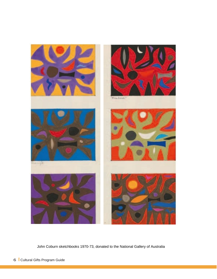

John Coburn sketchbooks 1970-73, donated to the National Gallery of Australia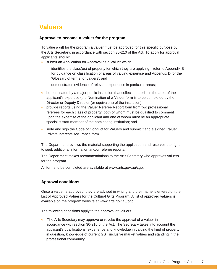## **Valuers**

#### **Approval to become a valuer for the program**

To value a gift for the program a valuer must be approved for this specific purpose by the Arts Secretary, in accordance with section 30-210 of the Act. To apply for approval applicants should:

- w submit an Application for Approval as a Valuer which
	- identifies the class(es) of property for which they are applying—refer to Appendix B for guidance on classification of areas of valuing expertise and Appendix D for the 'Glossary of terms for valuers'; and
	- demonstrates evidence of relevant experience in particular areas;
- $w$  be nominated by a major public institution that collects material in the area of the applicant's expertise (the Nomination of a Valuer form is to be completed by the Director or Deputy Director (or equivalent) of the institution);
- w provide reports using the Valuer Referee Report form from two professional referees for each class of property, both of whom must be qualified to comment upon the expertise of the applicant and one of whom must be an appropriate specialist staff member of the nominating institution; and
- note and sign the Code of Conduct for Valuers and submit it and a signed Valuer Private Interests Assurance form.

The Department reviews the material supporting the application and reserves the right to seek additional information and/or referee reports.

The Department makes recommendations to the Arts Secretary who approves valuers for the program.

All forms to be completed are available at [www.arts.gov.au/cgp.](http://www.arts.gov.au/cgp) 

### **Approval conditions**

Once a valuer is approved, they are advised in writing and their name is entered on the List of Approved Valuers for the Cultural Gifts Program. A list of approved valuers is available on the program website at [www.arts.gov.au/cgp.](http://www.arts.gov.au/cgp)

The following conditions apply to the approval of valuers.

w The Arts Secretary may approve or revoke the approval of a valuer in accordance with section 30-210 of the Act. The Secretary takes into account the applicant's qualifications, experience and knowledge in valuing the kind of property in question, knowledge of current GST inclusive market values and standing in the professional community.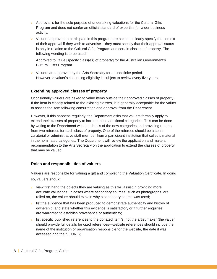- w Approval is for the sole purpose of undertaking valuations for the Cultural Gifts Program and does not confer an official standard of expertise for wider business activity.
- w Valuers approved to participate in this program are asked to clearly specify the context of their approval if they wish to advertise – they must specify that their approval status is only in relation to the Cultural Gifts Program and certain classes of property. The following wording is to be used:

Approved to value [specify class(es) of property] for the Australian Government's Cultural Gifts Program.

w Valuers are approved by the Arts Secretary for an indefinite period. However, a valuer's continuing eligibility is subject to review every five years.

## **Extending approved classes of property**

Occasionally valuers are asked to value items outside their approved classes of property. If the item is closely related to the existing classes, it is generally acceptable for the valuer to assess the item following consultation and approval from the Department.

However, if this happens regularly, the Department asks that valuers formally apply to extend their classes of property to include these additional categories. This can be done by writing to the Department with the details of the new categories and providing reports from two referees for each class of property. One of the referees should be a senior curatorial or administrative staff member from a participant institution that collects material in the nominated categories. The Department will review the application and make a recommendation to the Arts Secretary on the application to extend the classes of property that may be valued.

### **Roles and responsibilities of valuers**

Valuers are responsible for valuing a gift and completing the Valuation Certificate. In doing so, valuers should:

- w view first hand the objects they are valuing as this will assist in providing more accurate valuations. In cases where secondary sources, such as photographs, are relied on, the valuer should explain why a secondary source was used;
- w list the evidence that has been produced to demonstrate authenticity and history of ownership, and state whether this evidence is satisfactory or if further enquiries are warranted to establish provenance or authenticity;
- w list specific published references to the donated item/s, not the artist/maker (the valuer should provide full details for cited references—website references should include the name of the institution or organisation responsible for the website, the date it was accessed and the full URL);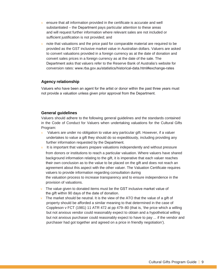- $w$  ensure that all information provided in the certificate is accurate and well substantiated – the Department pays particular attention to these areas and will request further information where relevant sales are not included or sufficient justification is not provided; and
- note that valuations and the price paid for comparable material are required to be provided as the GST inclusive market value in Australian dollars. Valuers are asked to convert valuations provided in a foreign currency as at the date of donation and convert sales prices in a foreign currency as at the date of the sale. The Department asks that valuers refer to the Reserve Bank of Australia's website for conversion rates: [www.rba.gov.au/statistics/historical-data.html#exchan](http://www.rba.gov.au/Statistics/HistoricalExchangeRates/index.html)ge-rates

### **Agency relationship**

Valuers who have been an agent for the artist or donor within the past three years must not provide a valuation unless given prior approval from the Department.

#### **General guidelines**

Valuers should adhere to the following general guidelines and the standards contained in the Code of Conduct for Valuers when undertaking valuations for the Cultural Gifts Program:

- $w$  Valuers are under no obligation to value any particular gift. However, if a valuer undertakes to value a gift they should do so expeditiously, including providing any further information requested by the Department.
- w It is important that valuers prepare valuations independently and without pressure from donors or institutions to reach a particular valuation. Where valuers have shared background information relating to the gift, it is imperative that each valuer reaches their own conclusion as to the value to be placed on the gift and does not reach an agreement about this aspect with the other valuer. The Valuation Certificate requires valuers to provide information regarding consultation during the valuation process to increase transparency and to ensure independence in the provision of valuations.
- w The value given to donated items must be the GST inclusive market value of the gift within 90 days of the date of donation.
- The market should be neutral. It is the view of the ATO that the value of a gift of property should be afforded a similar meaning to that determined in the case of Coppleson v FCT (1981) 11 ATR 472 at pp 479–80 (that is, 'the price which a willing but not anxious vendor could reasonably expect to obtain and a hypothetical willing but not anxious purchaser could reasonably expect to have to pay ... if the vendor and purchaser had got together and agreed on a price in friendly negotiation').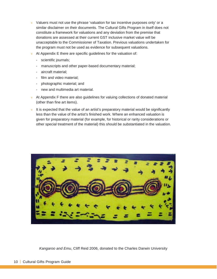- Valuers must not use the phrase 'valuation for tax incentive purposes only' or a similar disclaimer on their documents. The Cultural Gifts Program in itself does not constitute a framework for valuations and any deviation from the premise that donations are assessed at their current GST inclusive market value will be unacceptable to the Commissioner of Taxation. Previous valuations undertaken for the program must not be used as evidence for subsequent valuations.
- $W$  At Appendix E there are specific quidelines for the valuation of:
	- scientific journals;
	- manuscripts and other paper-based documentary material;
	- aircraft material:
	- film and video material:
	- photographic material; and
	- new and multimedia art material.
- w At Appendix F there are also guidelines for valuing collections of donated material (other than fine art items).
- $\bf{w}$  It is expected that the value of an artist's preparatory material would be significantly less than the value of the artist's finished work. Where an enhanced valuation is given for preparatory material (for example, for historical or rarity considerations or other special treatment of the material) this should be substantiated in the valuation.



*Kangaroo and Emu*, Cliff Reid 2006, donated to the Charles Darwin University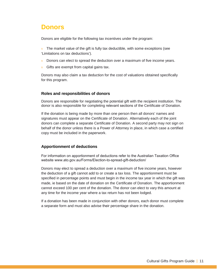## **Donors**

Donors are eligible for the following tax incentives under the program:

w The market value of the gift is fully tax deductible, with some exceptions (see 'Limitations on tax deductions').

- $\mathbf w$  Donors can elect to spread the deduction over a maximum of five income years.
- $w$  Gifts are exempt from capital gains tax.

Donors may also claim a tax deduction for the cost of valuations obtained specifically for this program.

#### **Roles and responsibilities of donors**

Donors are responsible for negotiating the potential gift with the recipient institution. The donor is also responsible for completing relevant sections of the Certificate of Donation.

If the donation is being made by more than one person then all donors' names and signatures must appear on the Certificate of Donation. Alternatively each of the joint donors can complete a separate Certificate of Donation. A second party may not sign on behalf of the donor unless there is a Power of Attorney in place, in which case a certified copy must be included in the paperwork.

### **Apportionment of deductions**

For information on apportionment of deductions refer to the Australian Taxation Office website www.ato.gov.au/Forms/Election-to-spread-gift-deduction/

Donors may elect to spread a deduction over a maximum of five income years, however the deduction of a gift cannot add to or create a tax loss. The apportionment must be specified in percentage points and must begin in the income tax year in which the gift was made, ie based on the date of donation on the Certificate of Donation. The apportionment cannot exceed 100 per cent of the donation. The donor can elect to vary this amount at any time for the income year where a tax return has not been lodged.

If a donation has been made in conjunction with other donors, each donor must complete a separate form and must also advise their percentage share in the donation.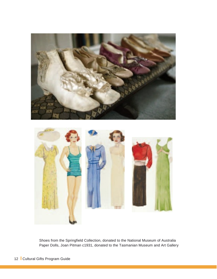



Shoes from the Springfield Collection, donated to the National Museum of Australia Paper Dolls, Joan Pitman c1931, donated to the Tasmanian Museum and Art Gallery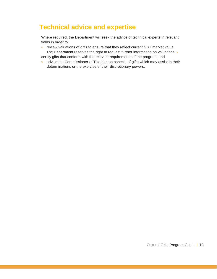## **Technical advice and expertise**

Where required, the Department will seek the advice of technical experts in relevant fields in order to:

- w review valuations of gifts to ensure that they reflect current GST market value. The Department reserves the right to request further information on valuations; w certify gifts that conform with the relevant requirements of the program; and
- w advise the Commissioner of Taxation on aspects of gifts which may assist in their determinations or the exercise of their discretionary powers.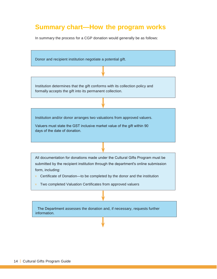## **Summary chart—How the program works**

In summary the process for a CGP donation would generally be as follows:

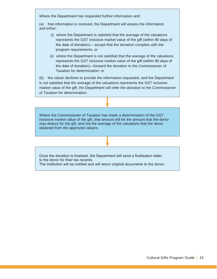Where the Department has requested further information and:

(a) that information is received, the Department will assess the information and either:

- (i) where the Department is satisfied that the average of the valuations represents the GST inclusive market value of the gift (within 90 days of the date of donation)— accept that the donation complies with the program requirements; or
- (ii) where the Department is not satisfied that the average of the valuations represents the GST inclusive market value of the gift (within 90 days of the date of donation)—forward the donation to the Commissioner of Taxation for determination; or

(b) the valuer declines to provide the information requested, and the Department is not satisfied that the average of the valuations represents the GST inclusive market value of the gift, the Department will refer the donation to the Commissioner of Taxation for determination.

Where the Commissioner of Taxation has made a determination of the GST inclusive market value of the gift, that amount will be the amount that the donor may deduct for the gift, and not the average of the valuations that the donor obtained from the approved valuers.

Once the donation is finalised, the Department will send a finalisation letter to the donor for their tax records.

The institution will be notified and will return original documents to the donor.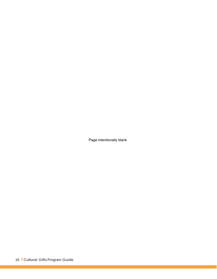Page intentionally blank

16 | Cultural Gifts Program Guide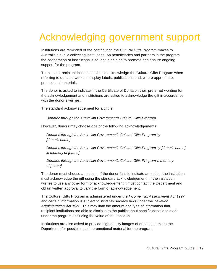# Acknowledging government support

Institutions are reminded of the contribution the Cultural Gifts Program makes to Australia's public collecting institutions. As beneficiaries and partners in the program the cooperation of institutions is sought in helping to promote and ensure ongoing support for the program.

To this end, recipient institutions should acknowledge the Cultural Gifts Program when referring to donated works in display labels, publications and, where appropriate, promotional materials.

The donor is asked to indicate in the Certificate of Donation their preferred wording for the acknowledgement and institutions are asked to acknowledge the gift in accordance with the donor's wishes.

The standard acknowledgement for a gift is:

*Donated through the Australian Government's Cultural Gifts Program.*

However, donors may choose one of the following acknowledgements:

*Donated through the Australian Government's Cultural Gifts Program by [donor's name].*

*Donated through the Australian Government's Cultural Gifts Program by [donor's name] in memory of [name].*

*Donated through the Australian Government's Cultural Gifts Program in memory of [name].*

The donor must choose an option. If the donor fails to indicate an option, the institution must acknowledge the gift using the standard acknowledgement. If the institution wishes to use any other form of acknowledgement it must contact the Department and obtain written approval to vary the form of acknowledgement.

The Cultural Gifts Program is administered under the *Income Tax Assessment Act 1997* and certain information is subject to strict tax secrecy laws under the *Taxation Administration Act 1953*. This may limit the amount and type of information that recipient institutions are able to disclose to the public about specific donations made under the program, including the value of the donation.

Institutions are also asked to provide high quality images of donated items to the Department for possible use in promotional material for the program.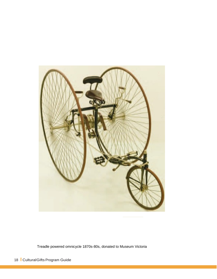

Treadle powered omnicycle 1870s-80s, donated to Museum Victoria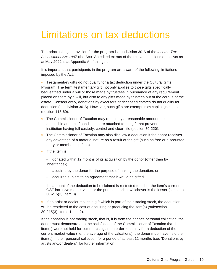# Limitations on tax deductions

The principal legal provision for the program is subdivision 30-A of the *Income Tax Assessment Act 1997* (the Act). An edited extract of the relevant sections of the Act as at May 2022 is at Appendix A of this guide.

It is important that participants in the program are aware of the following limitations imposed by the Act:

w Testamentary gifts do not qualify for a tax deduction under the Cultural Gifts Program. The term 'testamentary gift' not only applies to those gifts specifically bequeathed under a will or those made by trustees in pursuance of any requirement placed on them by a will, but also to any gifts made by trustees out of the corpus of the estate. Consequently, donations by executors of deceased estates do not qualify for deduction (subdivision 30-A). However, such gifts are exempt from capital gains tax (section 118-60).

- $w$  The Commissioner of Taxation may reduce by a reasonable amount the deductible amount if conditions are attached to the gift that prevent the institution having full custody, control and clear title (section 30-220).
- w The Commissioner of Taxation may also disallow a deduction if the donor receives any advantage of a material nature as a result of the gift (such as free or discounted entry or membership fees).
- $w$  If the item is
	- donated within 12 months of its acquisition by the donor (other than by inheritance);
	- acquired by the donor for the purpose of making the donation; or
	- acquired subject to an agreement that it would be gifted

the amount of the deduction to be claimed is restricted to either the item's current GST inclusive market value or the purchase price, whichever is the lesser (subsection 30-215(3), item 3).

 $\mathbf w$  If an artist or dealer makes a gift which is part of their trading stock, the deduction will be restricted to the cost of acquiring or producing the item(s) (subsection 30-215(3), items 1 and 2).

If the donation is not trading stock, that is, it is from the donor's personal collection, the donor must demonstrate to the satisfaction of the Commissioner of Taxation that the item(s) were not held for commercial gain. In order to qualify for a deduction of the current market value (i.e. the average of the valuations), the donor must have held the item(s) in their personal collection for a period of at least 12 months (see 'Donations by artists and/or dealers' for further information).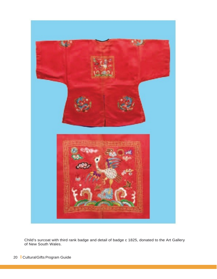

Child's surcoat with third rank badge and detail of badge c 1825, donated to the Art Gallery of New South Wales.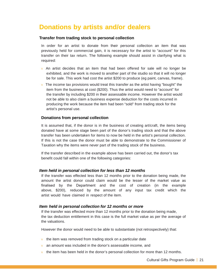## **Donations by artists and/or dealers**

#### **Transfer from trading stock to personal collection**

In order for an artist to donate from their personal collection an item that was previously held for commercial gain, it is necessary for the artist to "account" for this transfer on their tax return. The following example should assist in clarifying what is required:

- w An artist decides that an item that had been offered for sale will no longer be exhibited, and the work is moved to another part of the studio so that it will no longer be for sale. This work had cost the artist \$200 to produce (eg paint, canvas, frame).
- <sup>w</sup>The income tax provisions would treat this transfer as the artist having "bought" the item from the business at cost (\$200). Thus the artist would need to "account" for the transfer by including \$200 in their assessable income. However the artist would not be able to also claim a business expense deduction for the costs incurred in producing the work because the item had been "sold" from trading stock for the artist's personal use.

#### **Donations from personal collection**

It is assumed that, if the donor is in the business of creating art/craft, the items being donated have at some stage been part of the donor's trading stock and that the above transfer has been undertaken for items to now be held in the artist's personal collection. If this is not the case the donor must be able to demonstrate to the Commissioner of Taxation why the items were never part of the trading stock of the business.

If the transfer described in the example above has been carried out, the donor's tax benefit could fall within one of the following categories:

#### *Item held in personal collection for less than 12 months*

If the transfer was effected less than 12 months prior to the donation being made, the amount the artist donor could claim would be the lesser of the market value as finalised by the Department and the cost of creation (in the example above, \$200), reduced by the amount of any input tax credit which the artist would have claimed in respect of the item.

#### *Item held in personal collection for 12 months or more*

If the transfer was effected more than 12 months prior to the donation being made, the tax deduction entitlement in this case is the full market value as per the average of the valuations.

However the donor would need to be able to substantiate (not retrospectively) that:

- w the item was removed from trading stock on a particular date
- an amount was included in the donor's assessable income, and
- the item has been held in the donor's personal collection for more than 12 months.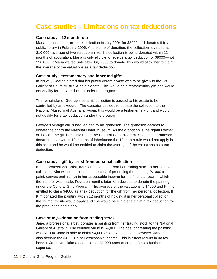## **Case studies – Limitations on tax deductions**

#### **Case study—12 month rule**

Maria purchases a rare book collection in July 2004 for \$8000 and donates it to a public library in February 2005. At the time of donation, the collection is valued at \$10 000 (average of two valuations). As the collection is being donated within 12 months of acquisition, Maria is only eligible to receive a tax deduction of \$8000—not \$10 000. If Maria waited until after July 2005 to donate, this would allow her to claim the average of the valuations as a tax deduction.

#### **Case study—testamentary and inherited gifts**

In his will, George stated that his prized ceramic vase was to be given to the Art Gallery of South Australia on his death. This would be a testamentary gift and would not qualify for a tax deduction under the program.

The remainder of George's ceramic collection is passed to his estate to be controlled by an executor. The executor decides to donate the collection to the National Museum of Australia. Again, this would be a testamentary gift and would not qualify for a tax deduction under the program.

George's vintage car is bequeathed to his grandson. The grandson decides to donate the car to the National Motor Museum. As the grandson is the rightful owner of the car, the gift is eligible under the Cultural Gifts Program. Should the grandson donate the car within 12 months of inheritance the 12 month rule would not apply in this case and he would be entitled to claim the average of the valuations as a tax deduction.

#### **Case study—gift by artist from personal collection**

Kim, a professional artist, transfers a painting from her trading stock to her personal collection. Kim will need to include the cost of producing the painting (\$1000 for paint, canvas and frame) in her assessable income for the financial year in which the transfer was made. Fourteen months later Kim decides to donate the painting under the Cultural Gifts Program. The average of the valuations is \$4000 and Kim is entitled to claim \$4000 as a tax deduction for the gift from her personal collection. If Kim donated the painting within 12 months of holding it in her personal collection, the 12 month rule would apply and she would be eligible to claim a tax deduction for the production costs only.

#### **Case study—donation from trading stock**

Jane, a professional artist, donates a painting from her trading stock to the National Gallery of Australia. The certified value is \$4,000. The cost of creating the painting was \$1,000. Jane is able to claim \$4,000 as a tax deduction. However, Jane must also declare the \$4,000 in her assessable income. This in effect results in no tax benefit. Jane can claim a deduction of \$1,000 (cost of creation) as a business expense.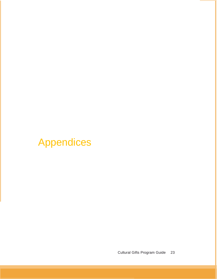# Appendices

Cultural Gifts Program Guide **|** 23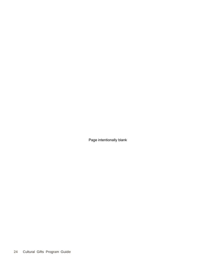Page intentionally blank

24 Cultural Gifts Program Guide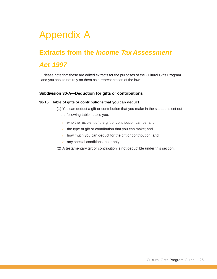# Appendix A

# **Extracts from the** *Income Tax Assessment Act 1997*

\*Please note that these are edited extracts for the purposes of the Cultural Gifts Program and you should not rely on them as a representation of the law.

### **Subdivision 30-A—Deduction for gifts or contributions**

#### **30-15 Table of gifts or contributions that you can deduct**

(1) You can deduct a gift or contribution that you make in the situations set out in the following table. It tells you:

- w who the recipient of the gift or contribution can be; and
- w the type of gift or contribution that you can make; and
- w how much you can deduct for the gift or contribution; and
- $w$  any special conditions that apply.
- (2) A testamentary gift or contribution is not deductible under this section.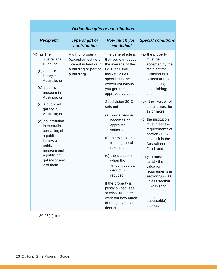| <b>Deductible gifts or contributions</b>                                                                                                                                                                                  |                                                                                                               |                                                                                                                                                                                                                                                                                                                                                      |                                                                                                                                                                                                                                                                                                                                                              |
|---------------------------------------------------------------------------------------------------------------------------------------------------------------------------------------------------------------------------|---------------------------------------------------------------------------------------------------------------|------------------------------------------------------------------------------------------------------------------------------------------------------------------------------------------------------------------------------------------------------------------------------------------------------------------------------------------------------|--------------------------------------------------------------------------------------------------------------------------------------------------------------------------------------------------------------------------------------------------------------------------------------------------------------------------------------------------------------|
| <b>Recipient</b>                                                                                                                                                                                                          | <b>Type of gift or</b><br>contribution                                                                        | How much you<br>can deduct                                                                                                                                                                                                                                                                                                                           | <b>Special conditions</b>                                                                                                                                                                                                                                                                                                                                    |
| $(4)$ (a) The<br>Australiana<br>Fund; or<br>(b) a public<br>library in<br>Australia; or<br>(c) a public<br>museum in                                                                                                      | A gift of property<br>(except an estate or<br>interest in land or in<br>a building or part of<br>a building). | The general rule is<br>that you can deduct<br>the average of the<br><b>GST</b> inclusive<br>market values<br>specified in the<br>written valuations<br>you get from<br>approved valuers.                                                                                                                                                             | (a) the property<br>must be<br>accepted by the<br>recipient for<br>inclusion in a<br>collection it is<br>maintaining or<br>establishing;<br>and                                                                                                                                                                                                              |
| Australia; or<br>(d) a public art<br>gallery in<br>Australia; or<br>(e) an institution<br>in Australia<br>consisting of<br>a public<br>library, a<br>public<br>museum and<br>a public art<br>gallery or any<br>2 of them. |                                                                                                               | Subdivision 30-C<br>sets out:<br>(a) how a person<br>becomes an<br>approved<br>valuer; and<br>(b) the exceptions<br>to the general<br>rule; and<br>(c) the situations<br>when the<br>amount you can<br>deduct is<br>reduced.<br>If the property is<br>jointly owned, see<br>section 30-225 to<br>work out how much<br>of the gift you can<br>deduct. | (b) the value of<br>the gift must be<br>\$2 or more;<br>(c) the institution<br>must meet the<br>requirements of<br>section 30-17,<br>unless it is the<br>Australiana<br>Fund; and<br>(d) you must<br>satisfy the<br>valuation<br>requirements in<br>section 30-200,<br>unless section<br>30-205 (about<br>the sale price<br>being<br>assessable)<br>applies. |

30-15(1) item 4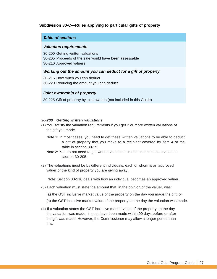### **Subdivision 30-C—Rules applying to particular gifts of property**

#### *Table of sections*

#### *Valuation requirements*

30-200 Getting written valuations 30-205 Proceeds of the sale would have been assessable 30-210 Approved valuers

#### *Working out the amount you can deduct for a gift of property*

30-215 How much you can deduct 30-220 Reducing the amount you can deduct

#### *Joint ownership of property*

30-225 Gift of property by joint owners (not included in this Guide)

#### *30-200 Getting written valuations*

- (1) You satisfy the valuation requirements if you get 2 or more written valuations of the gift you made.
	- Note 1: In most cases, you need to get these written valuations to be able to deduct a gift of property that you make to a recipient covered by item 4 of the table in section 30-15.
	- Note 2: You do not need to get written valuations in the circumstances set out in section 30-205.
- (2) The valuations must be by different individuals, each of whom is an approved valuer of the kind of property you are giving away.

Note: Section 30-210 deals with how an individual becomes an approved valuer.

- (3) Each valuation must state the amount that, in the opinion of the valuer, was:
	- (a) the GST inclusive market value of the property on the day you made the gift; or
	- (b) the GST inclusive market value of the property on the day the valuation was made.
- (4) If a valuation states the GST inclusive market value of the property on the day the valuation was made, it must have been made within 90 days before or after the gift was made. However, the Commissioner may allow a longer period than this.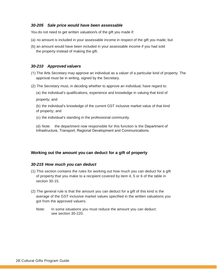#### *30-205 Sale price would have been assessable*

You do not need to get written valuation/s of the gift you made if:

- (a) no amount is included in your assessable income in respect of the gift you made; but
- (b) an amount would have been included in your assessable income if you had sold the property instead of making the gift.

#### *30-210 Approved valuers*

- (1) The Arts Secretary may approve an individual as a valuer of a particular kind of property. The approval must be in writing, signed by the Secretary.
- (2) The Secretary must, in deciding whether to approve an individual, have regard to:

(a) the individual's qualifications, experience and knowledge in valuing that kind of

property; and

(b) the individual's knowledge of the current GST inclusive market value of that kind of property; and

(c) the individual's standing in the professional community.

(d) Note: the department now responsible for this function is the Department of Infrastructure, Transport, Regional Development and Communications.

#### **Working out the amount you can deduct for a gift of property**

#### *30-215 How much you can deduct*

- (1) This section contains the rules for working out how much you can deduct for a gift of property that you make to a recipient covered by item 4, 5 or 6 of the table in section 30-15.
- (2) The general rule is that the amount you can deduct for a gift of this kind is the average of the GST inclusive market values specified in the written valuations you got from the approved valuers.
	- Note: In some situations you must reduce the amount you can deduct: see section 30-220.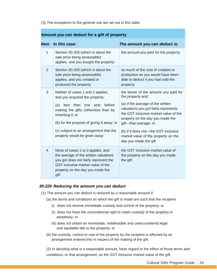(3) The exceptions to the general rule are set out in this table:

| <b>Item</b>    | In this case:                                                                                                                                                                                                       | The amount you can deduct is:                                                                                                                                                                                        |
|----------------|---------------------------------------------------------------------------------------------------------------------------------------------------------------------------------------------------------------------|----------------------------------------------------------------------------------------------------------------------------------------------------------------------------------------------------------------------|
| 1              | Section 30-205 (which is about the<br>sale price being assessable)<br>applies, and you bought the property                                                                                                          | the amount you paid for the property                                                                                                                                                                                 |
| $\overline{2}$ | Section 30-205 (which is about the<br>sale price being assessable)<br>applies, and you created or<br>produced the property                                                                                          | so much of the cost of creation or<br>production as you would have been<br>able to deduct if you had sold the<br>property                                                                                            |
| 3              | Neither of cases 1 and 2 applies,<br>and you acquired the property:<br>(a) less than<br>before<br>one year<br>making the gifts (otherwise than by<br>inheriting it; or<br>(b) for the purpose of giving it away; or | the lesser of the amount you paid for<br>the property and:<br>(a) if the average of the written<br>valuations you got fairly represents<br>the GST inclusive market value of the<br>property on the day you made the |
|                | (c) subject to an arrangement that the<br>property would be given away                                                                                                                                              | gift-that average; or<br>(b) if it does not-the GST inclusive<br>market value of the property on the<br>day you made the gift                                                                                        |
| $\overline{4}$ | None of cases 1 to 3 applies, and<br>the average of the written valuations<br>you got does not fairly represent the<br>GST inclusive market value of the<br>property on the day you made the<br>gift                | the GST inclusive market value of<br>the property on the day you made<br>the gift                                                                                                                                    |

#### **Amount you can deduct for a gift of property**

#### *30-220 Reducing the amount you can deduct*

- (1) The amount you can deduct is reduced by a reasonable amount if:
	- (a) the terms and conditions on which the gift is made are such that the recipient:
		- (i) does not receive immediate custody and control of the property; or
		- (ii) does not have the unconditional right to retain custody of the property in perpetuity; or
		- (iii) does not obtain an immediate, indefeasible and unencumbered legal and equitable title to the property; or
	- (b) the custody, control or use of the property by the recipient is affected by an arrangement entered into in respect of the making of the gift.

(2) In deciding what is a reasonable amount, have regard to the effect of those terms and conditions, or that arrangement, on the GST inclusive market value of the gift.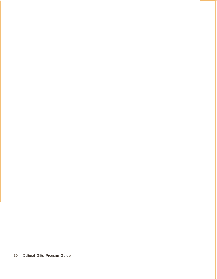30 Cultural Gifts Program Guide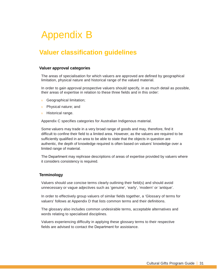# Appendix B

# **Valuer classification guidelines**

#### **Valuer approval categories**

The areas of specialisation for which valuers are approved are defined by geographical limitation, physical nature and historical range of the valued material.

In order to gain approval prospective valuers should specify, in as much detail as possible, their areas of expertise in relation to these three fields and in this order:

- w Geographical limitation;
- Physical nature; and
- Historical range.

Appendix C specifies categories for Australian Indigenous material.

Some valuers may trade in a very broad range of goods and may, therefore, find it difficult to confine their field to a limited area. However, as the valuers are required to be sufficiently qualified in an area to be able to state that the objects in question are authentic, the depth of knowledge required is often based on valuers' knowledge over a limited range of material.

The Department may rephrase descriptions of areas of expertise provided by valuers where it considers consistency is required.

### **Terminology**

Valuers should use concise terms clearly outlining their field(s) and should avoid unnecessary or vague adjectives such as 'genuine', 'early', 'modern' or 'antique'.

In order to effectively group valuers of similar fields together, a 'Glossary of terms for valuers' follows at Appendix D that lists common terms and their definitions.

The glossary also includes common undesirable terms, acceptable alternatives and words relating to specialised disciplines.

Valuers experiencing difficulty in applying these glossary terms to their respective fields are advised to contact the Department for assistance.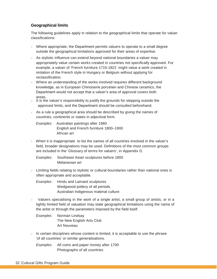## **Geographical limits**

The following guidelines apply in relation to the geographical limits that operate for valuer classifications:

- w Where appropriate, the Department permits valuers to operate to a small degree outside the geographical limitations approved for their areas of expertise.
- w As stylistic influence can extend beyond national boundaries a valuer may appropriately value certain works created in countries not specifically approved. For example, a valuer of 'French furniture 1715-1821' might value a work created in imitation of the French style in Hungary or Belgium without applying for reclassification.
- w Where an understanding of the works involved requires different background knowledge, as in European Chinoiserie porcelain and Chinese ceramics, the Department would not accept that a valuer's area of approval covers both areas.
- $w$  It is the valuer's responsibility to justify the grounds for stepping outside the approved limits, and the Department should be consulted beforehand.
- w As a rule a geographical area should be described by giving the names of countries, continents or states in adjectival form.
	- *Examples*: Australian paintings after 1960 English and French furniture 1800–1900 African art
- w When it is inappropriate to list the names of all countries involved in the valuer's field, broader designations may be used. Definitions of the most common groups are included in the 'Glossary of terms for valuers', in Appendix D.
	- *Examples:* Southeast Asian sculptures before 1800 Melanesian art
- w Limiting fields relating to stylistic or cultural boundaries rather than national ones is often appropriate and acceptable.
	- *Examples*: Hindu and Lamaist sculptures Wedgwood pottery of all periods Australian Indigenous material culture
- Valuers specialising in the work of a single artist, a small group of artists, or in a tightly limited field of valuation may state geographical limitations using the name of the artist or through the parameters imposed by the field itself.
	- *Examples*: Norman Lindsay The New English Arts Club Art Nouveau
- $w$  In certain disciplines whose content is limited, it is acceptable to use the phrase 'of all countries' or similar generalisations.
	- *Examples*: All coins and paper money after 1700 Photographs of all countries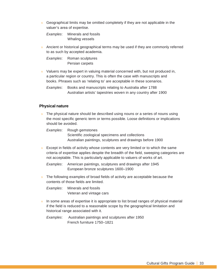$\bf{w}$  Geographical limits may be omitted completely if they are not applicable in the valuer's area of expertise.

*Examples*: Minerals and fossils Whaling vessels

w Ancient or historical geographical terms may be used if they are commonly referred to as such by accepted academia.

*Examples*: Roman sculptures Persian carpets

w Valuers may be expert in valuing material concerned with, but not produced in, a particular region or country. This is often the case with manuscripts and books. Phrases such as 'relating to' are acceptable in these scenarios.

*Examples*: Books and manuscripts relating to Australia after 1788 Australian artists' tapestries woven in any country after 1900

### **Physical nature**

- The physical nature should be described using nouns or a series of nouns using the most specific generic term or terms possible. Loose definitions or implications should be avoided.
	- *Examples*: Rough gemstones Scientific zoological specimens and collections Australian paintings, sculptures and drawings before 1900
- $\bf{w}$  Except in fields of activity whose contents are very limited or to which the same criteria of expertise applies despite the breadth of the field, sweeping categories are not acceptable. This is particularly applicable to valuers of works of art.

*Examples*: American paintings, sculptures and drawings after 1945 European bronze sculptures 1600–1900

 $\bf{w}$  The following examples of broad fields of activity are acceptable because the contents of those fields are limited.

*Examples*: Minerals and fossils Veteran and vintage cars

- $\bf{w}$  In some areas of expertise it is appropriate to list broad ranges of physical material if the field is reduced to a reasonable scope by the geographical limitation and historical range associated with it.
	- *Examples*: Australian paintings and sculptures after 1950 French furniture 1750–1821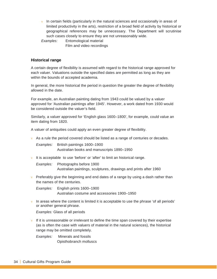$\bf{w}$  In certain fields (particularly in the natural sciences and occasionally in areas of limited productivity in the arts), restriction of a broad field of activity by historical or geographical references may be unnecessary. The Department will scrutinise such cases closely to ensure they are not unreasonably wide.

*Examples:* Entomological material Film and video recordings

### **Historical range**

A certain degree of flexibility is assumed with regard to the historical range approved for each valuer. Valuations outside the specified dates are permitted as long as they are within the bounds of accepted academia.

In general, the more historical the period in question the greater the degree of flexibility allowed in the date.

For example, an Australian painting dating from 1943 could be valued by a valuer approved for 'Australian paintings after 1945'. However, a work dated from 1930 would be considered outside the valuer's field.

Similarly, a valuer approved for 'English glass 1600–1800', for example, could value an item dating from 1820.

A valuer of antiquities could apply an even greater degree of flexibility.

 $w$  As a rule the period covered should be listed as a range of centuries or decades.

*Examples:* British paintings 1600–1900 Australian books and manuscripts 1890–1950

w It is acceptable to use 'before' or 'after' to limit an historical range.

*Examples:* Photographs before 1900 Australian paintings, sculptures, drawings and prints after 1960

w Preferably give the beginning and end dates of a range by using a dash rather than the names of the centuries.

*Examples:* English prints 1600–1900 Australian costume and accessories 1900–1950

w In areas where the content is limited it is acceptable to use the phrase 'of all periods' or another general phrase.

*Examples:* Glass of all periods

 $\mathbf w$  If it is unreasonable or irrelevant to define the time span covered by their expertise (as is often the case with valuers of material in the natural sciences), the historical range may be omitted completely.

*Examples:* Minerals and fossils Opisthobranch molluscs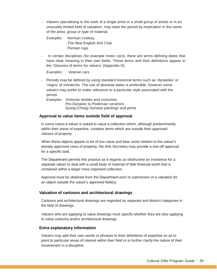<sup>w</sup>Valuers specialising in the work of a single artist or a small group of artists or in an unusually limited field of valuation, may state the period by implication in the name of the artist, group or type of material.

*Examples:* Norman Lindsay The New English Arts Club Persian rugs

 $w$  In certain disciplines (for example motor cars), there are terms defining dates that have clear meaning in their own fields. These terms and their definitions appear in the 'Glossary of terms for valuers' (Appendix D).

*Examples:* Veteran cars

 $\mathbf w$  Periods may be defined by using standard historical terms such as 'dynasties' or 'reigns' of monarchs. The use of absolute dates is preferable, however some valuers may prefer to make reference to a particular style associated with the period.

*Examples:* Victorian textiles and costumes Pre-Dynastic to Ptolemaic ceramics Quing (Ching) Dynasty paintings and prints

### **Approval to value items outside field of approval**

In some cases a valuer is asked to value a collection which, although predominantly within their areas of expertise, contains items which are outside their approved classes of property.

When these objects appear to be of low value and bear some relation to the valuer's already approved class of property, the Arts Secretary may provide a one-off approval for a specific task.

The Department permits this practice as it regards as obstructive an insistence for a separate valuer to deal with a small body of material of little financial worth that is contained within a larger more important collection.

Approval must be obtained from the Department prior to submission of a valuation for an object outside the valuer's approved field(s).

#### **Valuation of cartoons and architectural drawings**

Cartoons and architectural drawings are regarded as separate and distinct categories in the field of drawings.

Valuers who are applying to value drawings must specify whether they are also applying to value cartoons and/or architectural drawings.

#### **Extra explanatory information**

Valuers may add their own words or phrases to their definitions of expertise so as to point to particular areas of interest within their field or to further clarify the nature of their involvement in a discipline.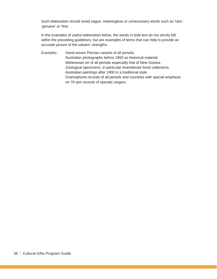Such elaboration should avoid vague, meaningless or unnecessary words such as 'rare', 'genuine' or 'fine'.

In the examples of useful elaboration below, the words in bold text do not strictly fall within the preceding guidelines, but are examples of terms that can help to provide an accurate picture of the valuers' strengths.

*Examples:* Hand-woven Persian carpets of all periods. Australian photographs before 1900 as historical material. Melanesian art of all periods especially that of New Guinea. Zoological specimens, in particular invertebrate fossil collections. Australian paintings after 1900 in a traditional style. Gramophone records of all periods and countries with special emphasis on 78 rpm records of operatic singers.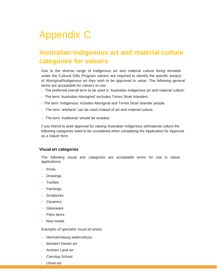# Appendix C

# **Australian Indigenous art and material culture categories for valuers**

Due to the diverse range of Indigenous art and material culture being donated under the Cultural Gifts Program valuers are required to identify the specific area(s) of Aboriginal/Indigenous art they wish to be approved to value. The following general terms are acceptable for valuers to use:

- w The preferred overall term to be used is 'Australian Indigenous art and material culture'.
- w The term 'Australian Aboriginal' excludes Torres Strait Islanders.
- <sup>w</sup>The term 'Indigenous' includes Aboriginal and Torres Strait Islander people.
- w The term 'artefacts' can be used instead of art and material culture.
- w The term 'traditional' should be avoided.

If you intend to seek approval for valuing Australian Indigenous art/material culture the following categories need to be considered when completing the Application for Approval as a Valuer form.

#### **Visual art categories**

The following visual arts categories are acceptable terms for use in valuer applications:

- w Prints
- w Drawings
- w Textiles
- w Paintings
- w Sculptures
- Ceramics
- Glassware
- Fibre items
- w New media

*Examples of specialist visual art areas:*

- Hermannsburg watercolours
- Western Desert art
- Arnhem Land art
- w Carrolup School
- w Urban art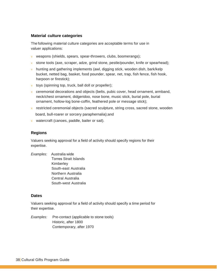#### **Material culture categories**

The following material culture categories are acceptable terms for use in valuer applications:

- weapons (shields, spears, spear-throwers, clubs, boomerangs);
- w stone tools (axe, scraper, adze, grind stone, pestle/pounder, knife or spearhead);
- w hunting and gathering implements (awl, digging stick, wooden dish, bark/kelp bucket, netted bag, basket, food pounder, spear, net, trap, fish fence, fish hook, harpoon or firestick);
- w toys (spinning top, truck, ball doll or propeller);
- w ceremonial decorations and objects (belts, pubic cover, head ornament, armband, neck/chest ornament, didgeridoo, nose bone, music stick, burial pole, burial ornament, hollow-log bone-coffin, feathered pole or message stick);
- w restricted ceremonial objects (sacred sculpture, string cross, sacred stone, wooden board, bull-roarer or sorcery paraphernalia);and
- w watercraft (canoes, paddle, bailer or sail).

#### **Regions**

Valuers seeking approval for a field of activity should specify regions for their expertise.

*Examples:* Australia wide Torres Strait Islands Kimberley South-east Australia Northern Australia Central Australia South-west Australia

#### **Dates**

Valuers seeking approval for a field of activity should specify a time period for their expertise.

*Examples:* Pre-contact (applicable to stone tools) Historic, after 1800 Contemporary, after 1970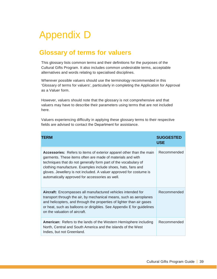# Appendix D

## **Glossary of terms for valuers**

This glossary lists common terms and their definitions for the purposes of the Cultural Gifts Program. It also includes common undesirable terms, acceptable alternatives and words relating to specialised disciplines.

Wherever possible valuers should use the terminology recommended in this 'Glossary of terms for valuers', particularly in completing the Application for Approval as a Valuer form.

However, valuers should note that the glossary is not comprehensive and that valuers may have to describe their parameters using terms that are not included here.

Valuers experiencing difficulty in applying these glossary terms to their respective fields are advised to contact the Department for assistance.

| <b>TERM</b>                                                                                                                                                                                                                                                                                                                                                                                     | <b>SUGGESTED</b><br>USE |
|-------------------------------------------------------------------------------------------------------------------------------------------------------------------------------------------------------------------------------------------------------------------------------------------------------------------------------------------------------------------------------------------------|-------------------------|
| Accessories: Refers to items of exterior apparel other than the main<br>garments. These items often are made of materials and with<br>techniques that do not generally form part of the vocabulary of<br>clothing manufacture. Examples include shoes, hats, fans and<br>gloves. Jewellery is not included. A valuer approved for costume is<br>automatically approved for accessories as well. | Recommended             |
| Aircraft: Encompasses all manufactured vehicles intended for<br>transport through the air, by mechanical means, such as aeroplanes<br>and helicopters, and through the properties of lighter than air gases<br>or heat, such as balloons or dirigibles. See Appendix E for guidelines<br>on the valuation of aircraft.                                                                          | Recommended             |
| <b>American:</b> Refers to the lands of the Western Hemisphere including<br>North, Central and South America and the islands of the West<br>Indies, but not Greenland.                                                                                                                                                                                                                          | Recommended             |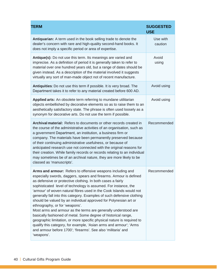| <b>TERM</b>                                                                                                                                                                                                                                                                                                                                                                                                                                                                                                                                                                                                                                                                                                                                                                                                                                                                                  | <b>SUGGESTED</b><br><b>USE</b> |
|----------------------------------------------------------------------------------------------------------------------------------------------------------------------------------------------------------------------------------------------------------------------------------------------------------------------------------------------------------------------------------------------------------------------------------------------------------------------------------------------------------------------------------------------------------------------------------------------------------------------------------------------------------------------------------------------------------------------------------------------------------------------------------------------------------------------------------------------------------------------------------------------|--------------------------------|
| Antiquarian: A term used in the book selling trade to denote the<br>dealer's concern with rare and high-quality second-hand books. It<br>does not imply a specific period or area of expertise.                                                                                                                                                                                                                                                                                                                                                                                                                                                                                                                                                                                                                                                                                              | Use with<br>caution            |
| Antique(s): Do not use this term. Its meanings are varied and<br>imprecise. As a definition of period it is generally taken to refer to<br>material over one hundred years old, but a range of dates should be<br>given instead. As a description of the material involved it suggests<br>virtually any sort of man-made object not of recent manufacture.                                                                                                                                                                                                                                                                                                                                                                                                                                                                                                                                   | Avoid<br>using                 |
| Antiquities: Do not use this term if possible. It is very broad. The<br>Department takes it to refer to any material created before 600 AD.                                                                                                                                                                                                                                                                                                                                                                                                                                                                                                                                                                                                                                                                                                                                                  | Avoid using                    |
| Applied arts: An obsolete term referring to mundane utilitarian<br>objects embellished by decorative elements so as to raise them to an<br>aesthetically satisfactory state. The phrase is often used loosely as a<br>synonym for decorative arts. Do not use the term if possible.                                                                                                                                                                                                                                                                                                                                                                                                                                                                                                                                                                                                          | Avoid using                    |
| Archival material: Refers to documents or other records created in<br>the course of the administrative activities of an organisation, such as<br>a government Department, an institution, a business firm or<br>company. The materials have been permanently preserved because<br>of their continuing administrative usefulness, or because of<br>anticipated research use not connected with the original reasons for<br>their creation. While family records or records relating to an individual<br>may sometimes be of an archival nature, they are more likely to be<br>classed as 'manuscripts'.                                                                                                                                                                                                                                                                                       | Recommended                    |
| Arms and armour: Refers to offensive weapons including and<br>especially swords, daggers, spears and firearms. Armour is defined<br>as defensive or protective clothing. In both cases a fairly<br>sophisticated level of technology is assumed. For instance, the<br>'armour' of woven natural fibres used in the Cook Islands would not<br>generally fall into this category. Examples of such defensive clothing<br>should be valued by an individual approved for Polynesian art or<br>ethnography, or for 'weapons'.<br>Most arms and armour as the terms are generally understood are<br>basically fashioned of metal. Some degree of historical range,<br>geographic limitation, or more specific physical nature is required to<br>qualify this category, for example, 'Asian arms and armour'; 'Arms<br>and armour before 1700'; 'firearms'. See also 'militaria' and<br>'weapons'. | Recommended                    |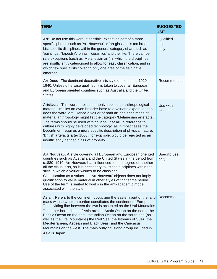| <b>TERM</b>                                                                                                                                                                                                                                                                                                                                                                                                                                                                                                                                                                                                            | <b>SUGGESTED</b><br><b>USE</b> |
|------------------------------------------------------------------------------------------------------------------------------------------------------------------------------------------------------------------------------------------------------------------------------------------------------------------------------------------------------------------------------------------------------------------------------------------------------------------------------------------------------------------------------------------------------------------------------------------------------------------------|--------------------------------|
| Art: Do not use this word, if possible, except as part of a more<br>specific phrase such as 'Art Nouveau' or 'art glass'. It is too broad.<br>List specific disciplines within the general category of art such as<br>'paintings', 'tapestry', 'prints', 'ceramics' and the like. There can be<br>rare exceptions (such as 'Melanesian art') in which the disciplines<br>are insufficiently categorised to allow for easy classification, and in<br>which few specialists covering only one area of the field have<br>emerged.                                                                                         | Qualified<br>use<br>only       |
| Art Deco: The dominant decorative arts style of the period 1920-<br>1940. Unless otherwise qualified, it is taken to cover all European<br>and European oriented countries such as Australia and the United<br>States.                                                                                                                                                                                                                                                                                                                                                                                                 | Recommended                    |
| Artefacts: This word, most commonly applied to anthropological<br>material, implies an even broader base to a valuer's expertise than<br>does the word 'art'. Hence a valuer of both art and specimens of<br>material anthropology might list the category 'Melanesian artefacts'.<br>The terms should be used with caution, if at all, in reference to<br>cultures with highly developed technology, as in most cases the<br>Department requires a more specific description of physical nature.<br>'British artefacts after 1800', for example, would be rejected as an<br>insufficiently defined class of property. | Use with<br>caution            |
| Art Nouveau: A style covering all European and European oriented<br>countries such as Australia and the United States in the period from<br>c1880-1910. Art Nouveau has influenced to one degree or another<br>all the visual arts, so it is necessary to list the disciplines within the<br>style in which a valuer wishes to be classified.<br>Classification as a valuer for 'Art Nouveau' objects does not imply<br>qualification to value material in other styles of that same period.<br>Use of the term is limited to works in the anti-academic mode<br>associated with the style.                            | Specific use<br>only           |
| Asian: Refers to the continent occupying the eastern part of the land<br>mass whose western portion constitutes the continent of Europe.<br>The dividing line between the two is accepted as the Ural Mountains.<br>The other borderlines of Asia are the Arctic Ocean on the north, the<br>Pacific Ocean on the east, the Indian Ocean on the south and (as<br>well as the Ural Mountains) the Red Sea, the Isthmus of Suez, the<br>Mediterranean, Aegean and Black Seas, and the Caucasus<br>Mountains on the west. The main outlying island group included in<br>Asia is Japan.                                     | Recommended                    |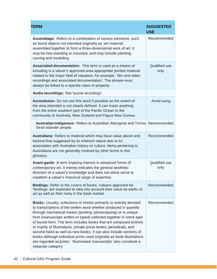| <b>TERM</b>                                                                                                                                                                                                                                                                                                                                                                                                                                                                                                                                                                                                                                                               | <b>SUGGESTED</b><br><b>USE</b> |
|---------------------------------------------------------------------------------------------------------------------------------------------------------------------------------------------------------------------------------------------------------------------------------------------------------------------------------------------------------------------------------------------------------------------------------------------------------------------------------------------------------------------------------------------------------------------------------------------------------------------------------------------------------------------------|--------------------------------|
| Assemblage: Refers to a combination of various elements, such<br>as found objects not intended originally as 'art material',<br>assembled together to form a three-dimensional work of art. It<br>may be free-standing or mounted, and may include painting,<br>carving and modelling.                                                                                                                                                                                                                                                                                                                                                                                    | Recommended                    |
| Associated documentation: This term is used as a means of<br>including in a valuer's approved area appropriate printed material<br>related to the major field of valuation, for example, 'film and video<br>recordings and associated documentation'. The phrase must<br>always be linked to a specific class of property.                                                                                                                                                                                                                                                                                                                                                | <b>Qualified use</b><br>only   |
| Audio recordings: See 'sound recordings'.                                                                                                                                                                                                                                                                                                                                                                                                                                                                                                                                                                                                                                 |                                |
| Australasian: Do not use this word if possible as the extent of<br>the area intended is not clearly defined. It can mean anything<br>from the entire southern part of the Pacific Ocean to the<br>community of Australia, New Zealand and Papua New Guinea.                                                                                                                                                                                                                                                                                                                                                                                                               | Avoid using                    |
| Australian Indigenous: Refers to Australian Aboriginal and Torres<br>Strait Islander people.                                                                                                                                                                                                                                                                                                                                                                                                                                                                                                                                                                              | Recommended                    |
| Australiana: Refers to material which may have value above and<br>beyond that suggested by its inherent nature due to its<br>association with Australian history or culture. Items pertaining to<br>Australiana are not generally covered by other terms in this<br>glossary.                                                                                                                                                                                                                                                                                                                                                                                             | Recommended                    |
| Avant-garde: A term implying interest in advanced forms of<br>contemporary art. It merely indicates the general aesthetic<br>direction of a valuer's knowledge and does not alone serve to<br>establish a valuer's historical range of expertise.                                                                                                                                                                                                                                                                                                                                                                                                                         | Qualified use<br>only          |
| <b>Bindings:</b> Refer to the covers of books. Valuers approved for<br>'bindings' are expected to take into account their value as works of<br>art as well as their rarity in the book market.                                                                                                                                                                                                                                                                                                                                                                                                                                                                            | Recommended                    |
| Books: Usually, collections of sheets primarily or entirely devoted<br>to transcriptions of the written word whether produced in quantity<br>through mechanical means (printing, photocopying) or in unique<br>form (manuscripts written or typed) collected together in some type<br>of bound form. The term includes books that are composed entirely<br>or mainly of illustrations, private press books, periodicals, and<br>second-hand as well as new books. It can also include sections of<br>books although individual prints used originally as book illustrations<br>are regarded as'prints'. 'Illuminated manuscripts' also constitute a<br>separate category. | Recommended                    |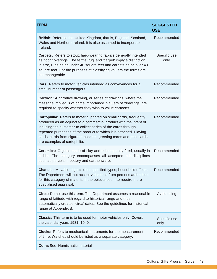| <b>TERM</b>                                                                                                                                                                                                                                                                                                                                                                         | <b>SUGGESTED</b><br><b>USE</b> |
|-------------------------------------------------------------------------------------------------------------------------------------------------------------------------------------------------------------------------------------------------------------------------------------------------------------------------------------------------------------------------------------|--------------------------------|
| British: Refers to the United Kingdom, that is, England, Scotland,<br>Wales and Northern Ireland. It is also assumed to incorporate<br>Ireland.                                                                                                                                                                                                                                     | Recommended                    |
| Carpets: Refers to stout, hard-wearing fabrics generally intended<br>as floor coverings. The terms 'rug' and 'carpet' imply a distinction<br>in size, rugs being under 40 square feet and carpets being over 40<br>square feet. For the purposes of classifying valuers the terms are<br>interchangeable.                                                                           | Specific use<br>only           |
| Cars: Refers to motor vehicles intended as conveyances for a<br>small number of passengers.                                                                                                                                                                                                                                                                                         | Recommended                    |
| Cartoon: A narrative drawing, or series of drawings, where the<br>message implied is of prime importance. Valuers of 'drawings' are<br>required to specify whether they wish to value cartoons.                                                                                                                                                                                     | Recommended                    |
| Cartophilia: Refers to material printed on small cards, frequently<br>produced as an adjunct to a commercial product with the intent of<br>inducing the customer to collect series of the cards through<br>repeated purchases of the product to which it is attached. Playing<br>cards, cards from cigarette packets, greeting cards and post cards<br>are examples of cartophilia. | Recommended                    |
| Ceramics: Objects made of clay and subsequently fired, usually in<br>a kiln. The category encompasses all accepted sub-disciplines<br>such as porcelain, pottery and earthenware.                                                                                                                                                                                                   | Recommended                    |
| Chattels: Movable objects of unspecified types; household effects.<br>The Department will not accept valuations from persons authorised<br>for this category of material if the objects seem to require more<br>specialised appraisal.                                                                                                                                              | Recommended                    |
| Circa: Do not use this term. The Department assumes a reasonable<br>range of latitude with regard to historical range and thus<br>automatically creates 'circa' dates. See the guidelines for historical<br>range at Appendix B.                                                                                                                                                    | Avoid using                    |
| <b>Classic:</b> This term is to be used for motor vehicles only. Covers<br>the calendar years 1931-1940.                                                                                                                                                                                                                                                                            | Specific use<br>only           |
| <b>Clocks:</b> Refers to mechanical instruments for the measurement<br>of time. Watches should be listed as a separate category.                                                                                                                                                                                                                                                    | Recommended                    |
| <b>Coins</b> See 'Numismatic material'.                                                                                                                                                                                                                                                                                                                                             |                                |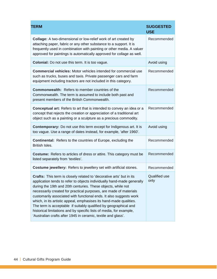| <b>TERM</b>                                                                                                                                                                                                                                                                                                                                                                                                                                                                                                                                                                                                                                 | <b>SUGGESTED</b><br><b>USE</b> |
|---------------------------------------------------------------------------------------------------------------------------------------------------------------------------------------------------------------------------------------------------------------------------------------------------------------------------------------------------------------------------------------------------------------------------------------------------------------------------------------------------------------------------------------------------------------------------------------------------------------------------------------------|--------------------------------|
| Collage: A two-dimensional or low-relief work of art created by<br>attaching paper, fabric or any other substance to a support. It is<br>frequently used in combination with painting or other media. A valuer<br>approved for paintings is automatically approved for collage as well.                                                                                                                                                                                                                                                                                                                                                     | Recommended                    |
| <b>Colonial:</b> Do not use this term. It is too vague.                                                                                                                                                                                                                                                                                                                                                                                                                                                                                                                                                                                     | Avoid using                    |
| <b>Commercial vehicles:</b> Motor vehicles intended for commercial use<br>such as trucks, buses and taxis. Private passenger cars and farm<br>equipment including tractors are not included in this category.                                                                                                                                                                                                                                                                                                                                                                                                                               | Recommended                    |
| Commonwealth: Refers to member countries of the<br>Commonwealth. The term is assumed to include both past and<br>present members of the British Commonwealth.                                                                                                                                                                                                                                                                                                                                                                                                                                                                               | Recommended                    |
| Conceptual art: Refers to art that is intended to convey an idea or a<br>concept that rejects the creation or appreciation of a traditional art<br>object such as a painting or a sculpture as a precious commodity.                                                                                                                                                                                                                                                                                                                                                                                                                        | Recommended                    |
| Contemporary: Do not use this term except for Indigenous art. It is<br>too vague. Use a range of dates instead, for example, 'after 1960'.                                                                                                                                                                                                                                                                                                                                                                                                                                                                                                  | Avoid using                    |
| <b>Continental:</b> Refers to the countries of Europe, excluding the<br>British Isles.                                                                                                                                                                                                                                                                                                                                                                                                                                                                                                                                                      | Recommended                    |
| Costume: Refers to articles of dress or attire. This category must be<br>listed separately from 'textiles'.                                                                                                                                                                                                                                                                                                                                                                                                                                                                                                                                 | Recommended                    |
| Costume jewellery: Refers to jewellery set with artificial stones.                                                                                                                                                                                                                                                                                                                                                                                                                                                                                                                                                                          | Recommended                    |
| Crafts: This term is closely related to 'decorative arts' but in its<br>application tends to refer to objects individually hand-made generally<br>during the 19th and 20th centuries. These objects, while not<br>necessarily created for practical purposes, are made of materials<br>customarily associated with functional ends. It also suggests work<br>which, in its artistic appeal, emphasises its hand-made qualities.<br>The term is acceptable if suitably qualified by geographical and<br>historical limitations and by specific lists of media, for example,<br>'Australian crafts after 1945 in ceramic, textile and glass'. | Qualified use<br>only          |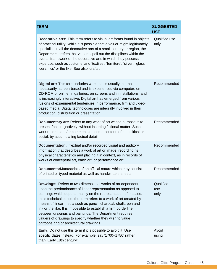| TERM                                                                                                                                                                                                                                                                                                                                                                                                                                                                                                                                                                                | <b>SUGGESTED</b><br><b>USE</b>  |
|-------------------------------------------------------------------------------------------------------------------------------------------------------------------------------------------------------------------------------------------------------------------------------------------------------------------------------------------------------------------------------------------------------------------------------------------------------------------------------------------------------------------------------------------------------------------------------------|---------------------------------|
| Decorative arts: This term refers to visual art forms found in objects<br>of practical utility. While it is possible that a valuer might legitimately<br>specialise in all the decorative arts of a small country or region, the<br>Department prefers that valuers spell out the disciplines within the<br>overall framework of the decorative arts in which they possess<br>expertise, such as'costume' and 'textiles', 'furniture', 'silver', 'glass',<br>'ceramics' or the like. See also 'crafts'.                                                                             | Qualified use<br>only           |
| Digital art: This term includes work that is usually, but not<br>necessarily, screen-based and is experienced via computer, on<br>CD-ROM or online, in galleries, on screens and in installations, and<br>is increasingly interactive. Digital art has emerged from various<br>fusions of experimental tendencies in performance, film and video-<br>based media. Digital technologies are integrally involved in their<br>production, distribution or presentation.                                                                                                                | Recommended                     |
| Documentary art: Refers to any work of art whose purpose is to<br>present facts objectively, without inserting fictional matter. Such<br>work records and/or comments on some content, often political or<br>social, by accumulating factual detail.                                                                                                                                                                                                                                                                                                                                | Recommended                     |
| Documentation: Textual and/or recorded visual and auditory<br>information that describes a work of art or image, recording its<br>physical characteristics and placing it in context, as in records of<br>works of conceptual art, earth art, or performance art.                                                                                                                                                                                                                                                                                                                   | Recommended                     |
| Documents: Manuscripts of an official nature which may consist<br>of printed or typed material as well as handwritten sheets.                                                                                                                                                                                                                                                                                                                                                                                                                                                       | Recommended                     |
| <b>Drawings:</b> Refers to two-dimensional works of art dependent<br>upon the predominance of linear representation as opposed to<br>paintings which depend mainly on the representation of masses.<br>In its technical sense, the term refers to a work of art created by<br>means of linear media such as pencil, charcoal, chalk, pen and<br>ink or the like. It is impossible to establish a firm borderline<br>between drawings and paintings. The Department requires<br>valuers of drawings to specify whether they wish to value<br>cartoons and/or architectural drawings. | Qualified<br><b>use</b><br>only |
| Early: Do not use this term if it is possible to avoid it. Use<br>specific dates instead. For example, say '1700-1750' rather<br>than 'Early 18th century'.                                                                                                                                                                                                                                                                                                                                                                                                                         | Avoid<br>using                  |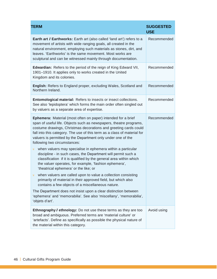| <b>TERM</b>                                                                                                                                                                                                                                                                                                                                                                                                                                                                                                                                                                                                                                                                                                                                                                                                                                                                                  | <b>SUGGESTED</b><br><b>USE</b> |
|----------------------------------------------------------------------------------------------------------------------------------------------------------------------------------------------------------------------------------------------------------------------------------------------------------------------------------------------------------------------------------------------------------------------------------------------------------------------------------------------------------------------------------------------------------------------------------------------------------------------------------------------------------------------------------------------------------------------------------------------------------------------------------------------------------------------------------------------------------------------------------------------|--------------------------------|
| Earth art / Earthworks: Earth art (also called 'land art') refers to a<br>movement of artists with wide ranging goals, all created in the<br>natural environment, employing such materials as stones, dirt, and<br>leaves. 'Earthworks' is the same movement. Most works are<br>sculptural and can be witnessed mainly through documentation.                                                                                                                                                                                                                                                                                                                                                                                                                                                                                                                                                | Recommended                    |
| Edwardian: Refers to the period of the reign of King Edward VII,<br>1901-1910. It applies only to works created in the United<br>Kingdom and its colonies.                                                                                                                                                                                                                                                                                                                                                                                                                                                                                                                                                                                                                                                                                                                                   | Recommended                    |
| English: Refers to England proper, excluding Wales, Scotland and<br>Northern Ireland.                                                                                                                                                                                                                                                                                                                                                                                                                                                                                                                                                                                                                                                                                                                                                                                                        | Recommended                    |
| <b>Entomological material:</b> Refers to insects or insect collections.<br>See also 'lepidoptera' which forms the main order often singled out<br>by valuers as a separate area of expertise.                                                                                                                                                                                                                                                                                                                                                                                                                                                                                                                                                                                                                                                                                                | Recommended                    |
| Ephemera: Material (most often on paper) intended for a brief<br>span of useful life. Objects such as newspapers, theatre programs,<br>costume drawings, Christmas decorations and greeting cards could<br>fall into this category. The use of this term as a class of material for<br>valuers is permitted by the Department only under one of the<br>following two circumstances:<br>when valuers may specialise in ephemera within a particular<br>W<br>discipline - in such cases, the Department will permit such a<br>classification if it is qualified by the general area within which<br>the valuer operates, for example, 'fashion ephemera',<br>'theatrical ephemera' or the like; or<br>when valuers are called upon to value a collection consisting<br>W<br>primarily of material in their approved field, but which also<br>contains a few objects of a miscellaneous nature. | Recommended                    |
| The Department does not insist upon a clear distinction between<br>'ephemera' and 'memorabilia'. See also 'miscellany', 'memorabilia',<br>'objets d'art'.                                                                                                                                                                                                                                                                                                                                                                                                                                                                                                                                                                                                                                                                                                                                    |                                |
| <b>Ethnography / ethnology:</b> Do not use these terms as they are too<br>broad and ambiguous. Preferred terms are 'material culture' or<br>'artefacts'. Define as specifically as possible the physical nature of<br>the material within this category.                                                                                                                                                                                                                                                                                                                                                                                                                                                                                                                                                                                                                                     | Avoid using                    |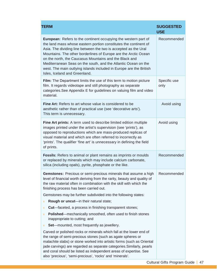| <b>TERM</b>                                                                                                                                                                                                                                                                                                                                                                                                                                                                                                  | <b>SUGGESTED</b><br><b>USE</b> |
|--------------------------------------------------------------------------------------------------------------------------------------------------------------------------------------------------------------------------------------------------------------------------------------------------------------------------------------------------------------------------------------------------------------------------------------------------------------------------------------------------------------|--------------------------------|
| European: Refers to the continent occupying the western part of<br>the land mass whose eastern portion constitutes the continent of<br>Asia. The dividing line between the two is accepted as the Ural<br>Mountains. The other borderlines of Europe are the Arctic Ocean<br>on the north, the Caucasus Mountains and the Black and<br>Mediterranean Seas on the south, and the Atlantic Ocean on the<br>west. The main outlying islands included in Europe are the British<br>Isles, Iceland and Greenland. | Recommended                    |
| Film: The Department limits the use of this term to motion picture<br>film. It regards videotape and still photography as separate<br>categories. See Appendix E for guidelines on valuing film and video<br>material.                                                                                                                                                                                                                                                                                       | Specific use<br>only           |
| Fine Art: Refers to art whose value is considered to be<br>aesthetic rather than of practical use (see 'decorative arts').<br>This term is unnecessary.                                                                                                                                                                                                                                                                                                                                                      | Avoid using                    |
| Fine Art prints: A term used to describe limited edition multiple<br>images printed under the artist's supervision (see 'prints'), as<br>opposed to reproductions which are mass-produced replicas of<br>visual material and which are often referred to incorrectly as<br>'prints'. The qualifier 'fine art' is unnecessary in defining the field<br>of prints.                                                                                                                                             | Avoid using                    |
| Fossils: Refers to animal or plant remains as imprints or moulds<br>or replaced by minerals which may include calcium carbonate,<br>silica (including opals), pyrite, phosphate or the like.                                                                                                                                                                                                                                                                                                                 | Recommended                    |
| Gemstones: Precious or semi-precious minerals that assume a high<br>level of financial worth deriving from the rarity, beauty and quality of<br>the raw material often in combination with the skill with which the<br>finishing process has been carried out.                                                                                                                                                                                                                                               | Recommended                    |
| Gemstones may be further subdivided into the following states:                                                                                                                                                                                                                                                                                                                                                                                                                                               |                                |
| Rough or uncut-in their natural state;<br>W                                                                                                                                                                                                                                                                                                                                                                                                                                                                  |                                |
| <b>Cut</b> —faceted, a process in finishing transparent stones;<br>W                                                                                                                                                                                                                                                                                                                                                                                                                                         |                                |
| Polished—mechanically smoothed, often used to finish stones<br>W<br>inappropriate to cutting; and                                                                                                                                                                                                                                                                                                                                                                                                            |                                |
| Set-mounted, most frequently as jewellery.<br>W                                                                                                                                                                                                                                                                                                                                                                                                                                                              |                                |
| Carved or polished rocks or minerals which fall at the lower end of<br>the range of semi-precious stones (such as agate spheres or<br>malachite slabs) or stone worked into artistic forms (such as Oriental<br>jade carvings) are regarded as separate categories. Similarly, pearls<br>and coral should be listed as independent areas of expertise. See<br>also 'precious', 'semi-precious', 'rocks' and 'minerals'.                                                                                      |                                |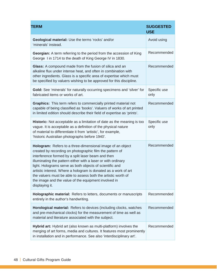| <b>TERM</b>                                                                                                                                                                                                                                                                                                                                                                                                                                                                                                             | <b>SUGGESTED</b><br><b>USE</b> |
|-------------------------------------------------------------------------------------------------------------------------------------------------------------------------------------------------------------------------------------------------------------------------------------------------------------------------------------------------------------------------------------------------------------------------------------------------------------------------------------------------------------------------|--------------------------------|
| Geological material: Use the terms 'rocks' and/or<br>'minerals' instead.                                                                                                                                                                                                                                                                                                                                                                                                                                                | Avoid using                    |
| Georgian: A term referring to the period from the accession of King<br>George I in 1714 to the death of King George IV in 1830.                                                                                                                                                                                                                                                                                                                                                                                         | Recommended                    |
| Glass: A compound made from the fusion of silica and an<br>alkaline flux under intense heat, and often in combination with<br>other ingredients. Glass is a specific area of expertise which must<br>be specified by valuers wishing to be approved for this discipline.                                                                                                                                                                                                                                                | Recommended                    |
| Gold: See 'minerals' for naturally occurring specimens and 'silver' for<br>fabricated items or works of art.                                                                                                                                                                                                                                                                                                                                                                                                            | Specific use<br>only           |
| <b>Graphics:</b> This term refers to commercially printed material not<br>capable of being classified as 'books'. Valuers of works of art printed<br>in limited edition should describe their field of expertise as 'prints'.                                                                                                                                                                                                                                                                                           | Recommended                    |
| Historic: Not acceptable as a limitation of date as the meaning is too<br>vague. It is acceptable as a definition of the physical nature<br>of material to differentiate it from 'artistic', for example,<br>'historic Australian photographs before 1940'.                                                                                                                                                                                                                                                             | Specific use<br>only           |
| Hologram: Refers to a three-dimensional image of an object<br>created by recording on photographic film the pattern of<br>interference formed by a split laser beam and then<br>illuminating the pattern either with a laser or with ordinary<br>light. Holograms serve as both objects of scientific and<br>artistic interest. Where a hologram is donated as a work of art<br>the valuers must be able to assess both the artistic worth of<br>the image and the value of the equipment involved in<br>displaying it. | Recommended                    |
| Holographic material: Refers to letters, documents or manuscripts<br>entirely in the author's handwriting.                                                                                                                                                                                                                                                                                                                                                                                                              | Recommended                    |
| Horological material: Refers to devices (including clocks, watches<br>and pre-mechanical clocks) for the measurement of time as well as<br>material and literature associated with the subject.                                                                                                                                                                                                                                                                                                                         | Recommended                    |
| Hybrid art: Hybrid art (also known as multi-platform) involves the<br>merging of art forms, media and cultures. It features most prominently<br>in installation and in performance. See also 'interdisciplinary art'.                                                                                                                                                                                                                                                                                                   | Recommended                    |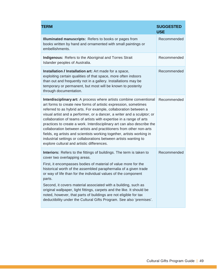| TERM                                                                                                                                                                                                                                                                                                                                                                                                                                                                                                                                                                                                                                                                                                       | <b>SUGGESTED</b><br><b>USE</b> |
|------------------------------------------------------------------------------------------------------------------------------------------------------------------------------------------------------------------------------------------------------------------------------------------------------------------------------------------------------------------------------------------------------------------------------------------------------------------------------------------------------------------------------------------------------------------------------------------------------------------------------------------------------------------------------------------------------------|--------------------------------|
| <b>Illuminated manuscripts:</b> Refers to books or pages from<br>books written by hand and ornamented with small paintings or<br>embellishments.                                                                                                                                                                                                                                                                                                                                                                                                                                                                                                                                                           | Recommended                    |
| Indigenous: Refers to the Aboriginal and Torres Strait<br>Islander peoples of Australia.                                                                                                                                                                                                                                                                                                                                                                                                                                                                                                                                                                                                                   | Recommended                    |
| Installation / Installation art: Art made for a space,<br>exploiting certain qualities of that space, more often indoors<br>than out and frequently not in a gallery. Installations may be<br>temporary or permanent, but most will be known to posterity<br>through documentation.                                                                                                                                                                                                                                                                                                                                                                                                                        | Recommended                    |
| Interdisciplinary art: A process where artists combine conventional<br>art forms to create new forms of artistic expression, sometimes<br>referred to as hybrid arts. For example, collaboration between a<br>visual artist and a performer, or a dancer, a writer and a sculptor; or<br>collaboration of teams of artists with expertise in a range of arts<br>practices to create a work. Interdisciplinary art can also describe the<br>collaboration between artists and practitioners from other non-arts<br>fields, eg artists and scientists working together, artists working in<br>industrial settings or collaborations between artists wanting to<br>explore cultural and artistic differences. | Recommended                    |
| <b>Interiors:</b> Refers to the fittings of buildings. The term is taken to<br>cover two overlapping areas.<br>First, it encompasses bodies of material of value more for the<br>historical worth of the assembled paraphernalia of a given trade<br>or way of life than for the individual values of the component<br>parts.<br>Second, it covers material associated with a building, such as<br>original wallpaper, light fittings, carpets and the like. It should be<br>noted, however, that parts of buildings are not eligible for tax<br>deductibility under the Cultural Gifts Program. See also 'premises'.                                                                                      | Recommended                    |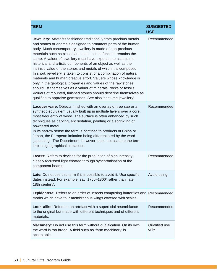| <b>TERM</b>                                                                                                                                                                                                                                                                                                                                                                                                                                                                                                                                                                                                                                                                                                                                                                                                                                                                                          | <b>SUGGESTED</b><br><b>USE</b> |
|------------------------------------------------------------------------------------------------------------------------------------------------------------------------------------------------------------------------------------------------------------------------------------------------------------------------------------------------------------------------------------------------------------------------------------------------------------------------------------------------------------------------------------------------------------------------------------------------------------------------------------------------------------------------------------------------------------------------------------------------------------------------------------------------------------------------------------------------------------------------------------------------------|--------------------------------|
| Jewellery: Artefacts fashioned traditionally from precious metals<br>and stones or enamels designed to ornament parts of the human<br>body. Much contemporary jewellery is made of non-precious<br>materials such as plastic and steel, but its function remains the<br>same. A valuer of jewellery must have expertise to assess the<br>historical and artistic components of an object as well as the<br>intrinsic value of the stones and metals of which it is composed.<br>In short, jewellery is taken to consist of a combination of natural<br>materials and human creative effort. Valuers whose knowledge is<br>only in the geological properties and values of the raw stones<br>should list themselves as a valuer of minerals, rocks or fossils.<br>Valuers of mounted, finished stones should describe themselves as<br>qualified to appraise gemstones. See also 'costume jewellery'. | Recommended                    |
| Lacquer ware: Objects finished with an overlay of tree sap or a<br>synthetic equivalent usually built up in multiple layers over a core,<br>most frequently of wood. The surface is often enhanced by such<br>techniques as carving, encrustation, painting or a sprinkling of<br>powdered metal.<br>In its narrow sense the term is confined to products of China or<br>Japan, the European imitation being differentiated by the word<br>'japanning'. The Department, however, does not assume the term<br>implies geographical limitations.                                                                                                                                                                                                                                                                                                                                                       | Recommended                    |
| Lasers: Refers to devices for the production of high intensity,<br>closely focussed light created through synchronisation of the<br>component beams.                                                                                                                                                                                                                                                                                                                                                                                                                                                                                                                                                                                                                                                                                                                                                 | Recommended                    |
| Late: Do not use this term if it is possible to avoid it. Use specific<br>dates instead. For example, say '1750-1800' rather than 'late<br>18th century'.                                                                                                                                                                                                                                                                                                                                                                                                                                                                                                                                                                                                                                                                                                                                            | Avoid using                    |
| Lepidoptera: Refers to an order of insects comprising butterflies and Recommended<br>moths which have four membranous wings covered with scales.                                                                                                                                                                                                                                                                                                                                                                                                                                                                                                                                                                                                                                                                                                                                                     |                                |
| Look-alike: Refers to an artefact with a superficial resemblance<br>to the original but made with different techniques and of different<br>materials.                                                                                                                                                                                                                                                                                                                                                                                                                                                                                                                                                                                                                                                                                                                                                | Recommended                    |
| Machinery: Do not use this term without qualification. On its own<br>the word is too broad. A field such as 'farm machinery' is<br>acceptable.                                                                                                                                                                                                                                                                                                                                                                                                                                                                                                                                                                                                                                                                                                                                                       | Qualified use<br>only          |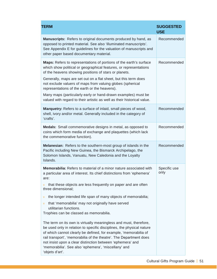| TERM                                                                                                                                                                                                                                                                                                                                                                                                                                                                                                                           | <b>SUGGESTED</b><br><b>USE</b> |
|--------------------------------------------------------------------------------------------------------------------------------------------------------------------------------------------------------------------------------------------------------------------------------------------------------------------------------------------------------------------------------------------------------------------------------------------------------------------------------------------------------------------------------|--------------------------------|
| Manuscripts: Refers to original documents produced by hand, as<br>opposed to printed material. See also 'illuminated manuscripts'.<br>See Appendix E for guidelines for the valuation of manuscripts and<br>other paper based documentary material.                                                                                                                                                                                                                                                                            | Recommended                    |
| Maps: Refers to representations of portions of the earth's surface<br>which show political or geographical features, or representations<br>of the heavens showing positions of stars or planets.<br>Generally, maps are set out on a flat sheet, but this term does<br>not exclude valuers of maps from valuing globes (spherical<br>representations of the earth or the heavens).<br>Many maps (particularly early or hand-drawn examples) must be<br>valued with regard to their artistic as well as their historical value. | Recommended                    |
| Marquetry: Refers to a surface of inlaid, small pieces of wood,<br>shell, ivory and/or metal. Generally included in the category of<br>'crafts'.                                                                                                                                                                                                                                                                                                                                                                               | Recommended                    |
| Medals: Small commemorative designs in metal, as opposed to<br>coins which form media of exchange and plaquettes (which lack<br>the commemorative function).                                                                                                                                                                                                                                                                                                                                                                   | Recommended                    |
| Melanesian: Refers to the southern-most group of islands in the<br>Pacific including New Guinea, the Bismarck Archipelago, the<br>Solomon Islands, Vanuatu, New Caledonia and the Loyalty<br>Islands.                                                                                                                                                                                                                                                                                                                          | Recommended                    |
| <b>Memorabilia:</b> Refers to material of a minor nature associated with<br>a particular area of interest. Its chief distinctions from 'ephemera'<br>are:                                                                                                                                                                                                                                                                                                                                                                      | Specific use<br>only           |
| $w$ that these objects are less frequently on paper and are often<br>three dimensional;                                                                                                                                                                                                                                                                                                                                                                                                                                        |                                |
| the longer intended life span of many objects of memorabilia;<br>W<br>that 'memorabilia' may not originally have served<br>W<br>utilitarian functions.<br>Trophies can be classed as memorabilia.                                                                                                                                                                                                                                                                                                                              |                                |
| The term on its own is virtually meaningless and must, therefore,<br>be used only in relation to specific disciplines, the physical nature<br>of which cannot clearly be defined, for example, 'memorabilia of<br>rail transport', 'memorabilia of the theatre'. The Department does<br>not insist upon a clear distinction between 'ephemera' and<br>'memorabilia'. See also 'ephemera', 'miscellany' and<br>'objets d'art'.                                                                                                  |                                |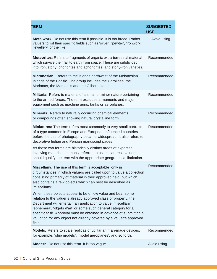| <b>TERM</b>                                                                                                                                                                                                                                                                                                                                                                                                                                                                                                                                                                                                                                                                                                         | <b>SUGGESTED</b><br><b>USE</b> |
|---------------------------------------------------------------------------------------------------------------------------------------------------------------------------------------------------------------------------------------------------------------------------------------------------------------------------------------------------------------------------------------------------------------------------------------------------------------------------------------------------------------------------------------------------------------------------------------------------------------------------------------------------------------------------------------------------------------------|--------------------------------|
| Metalwork: Do not use this term if possible. It is too broad. Rather<br>valuers to list their specific fields such as 'silver', 'pewter', 'ironwork',<br>'jewellery' or the like.                                                                                                                                                                                                                                                                                                                                                                                                                                                                                                                                   | Avoid using                    |
| Meteorites: Refers to fragments of organic extra-terrestrial material<br>which survive their fall to earth from space. These are subdivided<br>into iron, stony (chondrites and achondrites) and stony-iron varieties.                                                                                                                                                                                                                                                                                                                                                                                                                                                                                              | Recommended                    |
| Micronesian: Refers to the islands northwest of the Melanesian<br>Islands of the Pacific. The group includes the Carolines, the<br>Marianas, the Marshalls and the Gilbert Islands.                                                                                                                                                                                                                                                                                                                                                                                                                                                                                                                                 | Recommended                    |
| Militaria: Refers to material of a small or minor nature pertaining<br>to the armed forces. The term excludes armaments and major<br>equipment such as machine guns, tanks or aeroplanes.                                                                                                                                                                                                                                                                                                                                                                                                                                                                                                                           | Recommended                    |
| Minerals: Refers to naturally occurring chemical elements<br>or compounds often showing natural crystalline form.                                                                                                                                                                                                                                                                                                                                                                                                                                                                                                                                                                                                   | Recommended                    |
| Miniatures: The term refers most commonly to very small portraits<br>of a type common in Europe and European-influenced countries<br>before the use of photography became widespread. It also refers to<br>decorative Indian and Persian manuscript pages.<br>As these two forms are historically distinct areas of expertise<br>involving material commonly referred to as 'miniatures', valuers<br>should qualify the term with the appropriate geographical limitation.                                                                                                                                                                                                                                          | Recommended                    |
| Miscellany: The use of this term is acceptable only in<br>circumstances in which valuers are called upon to value a collection<br>consisting primarily of material in their approved field, but which<br>also contains a few objects which can best be described as<br>'miscellany'.<br>When these objects appear to be of low value and bear some<br>relation to the valuer's already approved class of property, the<br>Department will entertain an application to value 'miscellany',<br>'ephemera', 'objets d'art' or some such general category for a<br>specific task. Approval must be obtained in advance of submitting a<br>valuation for any object not already covered by a valuer's approved<br>field. | Recommended                    |
| Models: Refers to scale replicas of utilitarian man-made devices,<br>for example, 'ship models', 'model aeroplanes', and so forth.                                                                                                                                                                                                                                                                                                                                                                                                                                                                                                                                                                                  | Recommended                    |
| <b>Modern:</b> Do not use this term. It is too vague.                                                                                                                                                                                                                                                                                                                                                                                                                                                                                                                                                                                                                                                               | Avoid using                    |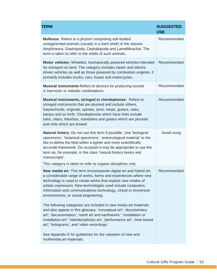| TERM                                                                                                                                                                                                                                                                                                                                                                          | <b>SUGGESTED</b><br><b>USE</b> |
|-------------------------------------------------------------------------------------------------------------------------------------------------------------------------------------------------------------------------------------------------------------------------------------------------------------------------------------------------------------------------------|--------------------------------|
| Mollusca: Refers to a phylum comprising soft-bodied<br>unsegmented animals (usually in a hard shell) of the classes<br>Amphineura, Gastropoda, Cephalopoda and Lamellibrachia. The<br>term is taken to refer to the shells of such animals.                                                                                                                                   | Recommended                    |
| Motor vehicles: Wheeled, mechanically powered vehicles intended<br>for transport on land. The category includes steam and electric<br>driven vehicles as well as those powered by combustion engines. It<br>primarily includes trucks, cars, buses and motorcycles.                                                                                                           | Recommended                    |
| <b>Musical instruments Refers to devices for producing sounds</b><br>in harmonic or melodic combinations.                                                                                                                                                                                                                                                                     | Recommended                    |
| Musical instruments, stringed or chordophones: Refers to<br>stringed instruments that are plucked and include zithers,<br>harpsichords, virginals, spinets, lyres, harps, guitars, lutes,<br>banjos and so forth. Chordophones which have frets include<br>lutes, sitars, theorbos, mandolins and guitars which are plucked<br>and viols which are bowed.                     | Recommended                    |
| Natural history: Do not use this term if possible. Use 'biological<br>specimens', 'botanical specimens', 'entomological material' or the<br>like to define the field within a tighter and more scientifically<br>accurate framework. On occasion it may be appropriate to use the<br>term as, for example, in the class 'natural history books and<br>manuscripts'.           | Avoid using                    |
| This category is taken to refer to organic disciplines only.                                                                                                                                                                                                                                                                                                                  |                                |
| New media art: This term encompasses digital art and hybrid art,<br>a considerable range of works, forms and experiences where new<br>technology is used to create works that explore new modes of<br>artistic expression. New technologies used include computers,<br>information and communications technology, virtual or immersive<br>environments, or sound engineering. | Recommended                    |
| The following categories are included in new media art materials<br>and also appear in this glossary: 'conceptual art'; 'documentary<br>art'; 'documentation'; 'earth art and earthworks'; 'installation or<br>installation art'; 'interdisciplinary art'; 'performance art'; 'time-based<br>art'; 'holograms'; and 'video recordings'.                                       |                                |
| See Appendix E for guidelines for the valuation of new and<br>multimedia art materials.                                                                                                                                                                                                                                                                                       |                                |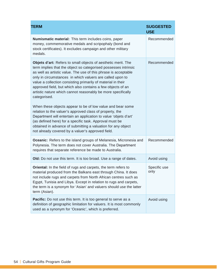| <b>TERM</b>                                                                                                                                                                                                                                                                                                                                                                                                                                                                                                                                                                                                                                                                                                                                                                                                                                                   | <b>SUGGESTED</b><br><b>USE</b> |
|---------------------------------------------------------------------------------------------------------------------------------------------------------------------------------------------------------------------------------------------------------------------------------------------------------------------------------------------------------------------------------------------------------------------------------------------------------------------------------------------------------------------------------------------------------------------------------------------------------------------------------------------------------------------------------------------------------------------------------------------------------------------------------------------------------------------------------------------------------------|--------------------------------|
| Numismatic material: This term includes coins, paper<br>money, commemorative medals and scripophaly (bond and<br>stock certificates). It excludes campaign and other military<br>medals.                                                                                                                                                                                                                                                                                                                                                                                                                                                                                                                                                                                                                                                                      | Recommended                    |
| Objets d'art: Refers to small objects of aesthetic merit. The<br>term implies that the object so categorised possesses intrinsic<br>as well as artistic value. The use of this phrase is acceptable<br>only in circumstances in which valuers are called upon to<br>value a collection consisting primarily of material in their<br>approved field, but which also contains a few objects of an<br>artistic nature which cannot reasonably be more specifically<br>categorised.<br>When these objects appear to be of low value and bear some<br>relation to the valuer's approved class of property, the<br>Department will entertain an application to value 'objets d'art'<br>(as defined here) for a specific task. Approval must be<br>obtained in advance of submitting a valuation for any object<br>not already covered by a valuer's approved field. | Recommended                    |
| Oceanic: Refers to the island groups of Melanesia, Micronesia and<br>Polynesia. The term does not cover Australia. The Department<br>requires that separate reference be made to Australia.                                                                                                                                                                                                                                                                                                                                                                                                                                                                                                                                                                                                                                                                   | Recommended                    |
| Old: Do not use this term. It is too broad. Use a range of dates.                                                                                                                                                                                                                                                                                                                                                                                                                                                                                                                                                                                                                                                                                                                                                                                             | Avoid using                    |
| Oriental: In the field of rugs and carpets, the term refers to<br>material produced from the Balkans east through China. It does<br>not include rugs and carpets from North African centres such as<br>Egypt, Tunisia and Libya. Except in relation to rugs and carpets,<br>the term is a synonym for 'Asian' and valuers should use the latter<br>term (Asian).                                                                                                                                                                                                                                                                                                                                                                                                                                                                                              | Specific use<br>only           |
| Pacific: Do not use this term. It is too general to serve as a<br>definition of geographic limitation for valuers. It is most commonly<br>used as a synonym for 'Oceanic', which is preferred.                                                                                                                                                                                                                                                                                                                                                                                                                                                                                                                                                                                                                                                                | Avoid using                    |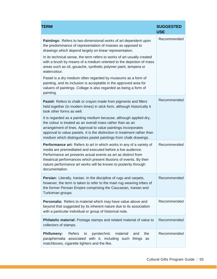| <b>TERM</b>                                                                                                                                                                                                                                                                                                                                                       | <b>SUGGESTED</b><br><b>USE</b> |
|-------------------------------------------------------------------------------------------------------------------------------------------------------------------------------------------------------------------------------------------------------------------------------------------------------------------------------------------------------------------|--------------------------------|
| Paintings: Refers to two-dimensional works of art dependent upon<br>the predominance of representation of masses as opposed to<br>drawings which depend largely on linear representation.                                                                                                                                                                         | Recommended                    |
| In its technical sense, the term refers to works of art usually created<br>with a brush by means of a medium oriented to the depiction of mass<br>areas such as oil, gouache, synthetic polymer paint, tempera or<br>watercolour.                                                                                                                                 |                                |
| Pastel is a dry medium often regarded by museums as a form of<br>painting, and its inclusion is acceptable in the approved area for<br>valuers of paintings. Collage is also regarded as being a form of<br>painting.                                                                                                                                             |                                |
| Pastel: Refers to chalk or crayon made from pigments and fillers<br>held together (in modern times) in stick form, although historically it<br>took other forms as well.                                                                                                                                                                                          | Recommended                    |
| It is regarded as a painting medium because, although applied dry,<br>the colour is treated as an overall mass rather than as an<br>arrangement of lines. Approval to value paintings incorporates<br>approval to value pastels. It is the distinction in treatment rather than<br>medium which distinguishes pastel paintings from chalk drawings.               |                                |
| Performance art: Refers to art in which works in any of a variety of<br>media are premeditated and executed before a live audience.<br>Performance art presents actual events as art as distinct from<br>theatrical performances which present illusions of events. By their<br>nature performance art works will be known to posterity through<br>documentation. | Recommended                    |
| Persian: Literally, Iranian. In the discipline of rugs and carpets,<br>however, the term is taken to refer to the main rug weaving tribes of<br>the former Persian Empire comprising the Caucasian, Iranian and<br>Turkoman groups.                                                                                                                               | Recommended                    |
| Personalia: Refers to material which may have value above and<br>beyond that suggested by its inherent nature due to its association<br>with a particular individual or group of historical note.                                                                                                                                                                 | Recommended                    |
| Philatelic material: Postage stamps and related material of value to<br>collectors of stamps.                                                                                                                                                                                                                                                                     | Recommended                    |
| <b>Phillumeny:</b><br>Refers<br>pyrotechnic<br>material<br>the<br>and<br>to<br>paraphernalia associated with it, including such<br>things<br>as<br>matchboxes, cigarette lighters and the like.                                                                                                                                                                   | Recommended                    |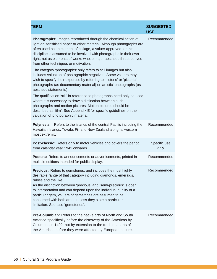| <b>TERM</b>                                                                                                                                                                                                                                                                                                                                                                                                                                                | <b>SUGGESTED</b><br><b>USE</b> |
|------------------------------------------------------------------------------------------------------------------------------------------------------------------------------------------------------------------------------------------------------------------------------------------------------------------------------------------------------------------------------------------------------------------------------------------------------------|--------------------------------|
| Photographs: Images reproduced through the chemical action of<br>light on sensitised paper or other material. Although photographs are<br>often used as an element of collage, a valuer approved for this<br>discipline is assumed to be involved with photographs in their own<br>right, not as elements of works whose major aesthetic thrust derives<br>from other techniques or motivation.                                                            | Recommended                    |
| The category 'photographs' only refers to still images but also<br>includes valuation of photographic negatives. Some valuers may<br>wish to specify their expertise by referring to 'historic' or 'pictorial'<br>photographs (as documentary material) or 'artistic' photographs (as<br>aesthetic statements).                                                                                                                                            |                                |
| The qualification 'still' in reference to photographs need only be used<br>where it is necessary to draw a distinction between such<br>photographs and motion pictures. Motion pictures should be<br>described as 'film'. See Appendix E for specific guidelines on the<br>valuation of photographic material.                                                                                                                                             |                                |
| Polynesian: Refers to the islands of the central Pacific including the<br>Hawaiian Islands, Tuvalu, Fiji and New Zealand along its western-<br>most extremity.                                                                                                                                                                                                                                                                                             | Recommended                    |
| Post-classic: Refers only to motor vehicles and covers the period<br>from calendar year 1941 onwards.                                                                                                                                                                                                                                                                                                                                                      | Specific use<br>only           |
| Posters: Refers to announcements or advertisements, printed in<br>multiple editions intended for public display.                                                                                                                                                                                                                                                                                                                                           | Recommended                    |
| Precious: Refers to gemstones, and includes the most highly<br>desirable range of that category including diamonds, emeralds,<br>rubies and the like.<br>As the distinction between 'precious' and 'semi-precious' is open<br>to interpretation and can depend upon the individual quality of a<br>particular gem, valuers of gemstones are assumed to be<br>concerned with both areas unless they state a particular<br>limitation. See also 'gemstones'. | Recommended                    |
| <b>Pre-Columbian:</b> Refers to the native arts of North and South<br>America specifically before the discovery of the Americas by<br>Columbus in 1492, but by extension to the traditional arts of<br>the Americas before they were affected by European culture.                                                                                                                                                                                         | Recommended                    |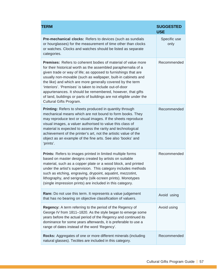| <b>TERM</b>                                                                                                                                                                                                                                                                                                                                                                                                                                                                                                                                                         | <b>SUGGESTED</b><br><b>USE</b> |
|---------------------------------------------------------------------------------------------------------------------------------------------------------------------------------------------------------------------------------------------------------------------------------------------------------------------------------------------------------------------------------------------------------------------------------------------------------------------------------------------------------------------------------------------------------------------|--------------------------------|
| Pre-mechanical clocks: Refers to devices (such as sundials<br>or hourglasses) for the measurement of time other than clocks<br>or watches. Clocks and watches should be listed as separate<br>categories.                                                                                                                                                                                                                                                                                                                                                           | Specific use<br>only           |
| <b>Premises:</b> Refers to coherent bodies of material of value more<br>for their historical worth as the assembled paraphernalia of a<br>given trade or way of life; as opposed to furnishings that are<br>usually non-movable (such as wallpaper, built-in cabinets and<br>the like) and which are more generally covered by the term<br>'interiors'. 'Premises' is taken to include out-of-door<br>appurtenances. It should be remembered, however, that gifts<br>of land, buildings or parts of buildings are not eligible under the<br>Cultural Gifts Program. | Recommended                    |
| Printing: Refers to sheets produced in quantity through<br>mechanical means which are not bound to form books. They<br>may reproduce text or visual images. If the sheets reproduce<br>visual images, a valuer authorised to value this class of<br>material is expected to assess the rarity and technological<br>achievement of the printer's art, not the artistic value of the<br>object as an example of the fine arts. See also 'books' and<br>'prints'.                                                                                                      | Recommended                    |
| Prints: Refers to images printed in limited multiple forms<br>based on master designs created by artists on suitable<br>material, such as a copper plate or a wood block, and printed<br>under the artist's supervision. This category includes methods<br>such as etching, engraving, drypoint, aquatint, mezzotint,<br>lithography, and serigraphy (silk-screen prints). Monotypes<br>(single impression prints) are included in this category.                                                                                                                   | Recommended                    |
| Rare: Do not use this term. It represents a value judgement<br>that has no bearing on objective classification of valuers.                                                                                                                                                                                                                                                                                                                                                                                                                                          | Avoid using                    |
| Regency: A term referring to the period of the Regency of<br>George IV from 1811–1820. As the style began to emerge some<br>years before the actual period of the Regency and continued its<br>dominance for some years afterwards, it is preferable to use a<br>range of dates instead of the word 'Regency'.                                                                                                                                                                                                                                                      | Avoid using                    |
| Rocks: Aggregates of one or more different minerals (including<br>natural glasses). Tectites are included in this category.                                                                                                                                                                                                                                                                                                                                                                                                                                         | Recommended                    |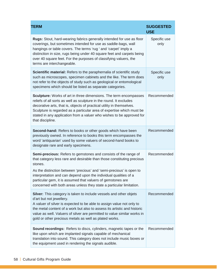| <b>TERM</b>                                                                                                                                                                                                                                                                                                                                                                                                                             | <b>SUGGESTED</b><br><b>USE</b> |
|-----------------------------------------------------------------------------------------------------------------------------------------------------------------------------------------------------------------------------------------------------------------------------------------------------------------------------------------------------------------------------------------------------------------------------------------|--------------------------------|
| Rugs: Stout, hard-wearing fabrics generally intended for use as floor<br>coverings, but sometimes intended for use as saddle-bags, wall<br>hangings or table covers. The terms 'rug ' and 'carpet' imply a<br>distinction in size, rugs being under 40 square feet and carpets being<br>over 40 square feet. For the purposes of classifying valuers, the<br>terms are interchangeable.                                                 | Specific use<br>only           |
| Scientific material: Refers to the paraphernalia of scientific study<br>such as microscopes, specimen cabinets and the like. The term does<br>not refer to the objects of study such as geological or entomological<br>specimens which should be listed as separate categories.                                                                                                                                                         | Specific use<br>only           |
| Sculpture: Works of art in three dimensions. The term encompasses<br>reliefs of all sorts as well as sculpture in the round. It excludes<br>decorative arts, that is, objects of practical utility in themselves.<br>Sculpture is regarded as a particular area of expertise which must be<br>stated in any application from a valuer who wishes to be approved for<br>that discipline.                                                 | Recommended                    |
| Second-hand: Refers to books or other goods which have been<br>previously owned. In reference to books this term encompasses the<br>word 'antiquarian' used by some valuers of second-hand books to<br>designate rare and early specimens.                                                                                                                                                                                              | Recommended                    |
| Semi-precious: Refers to gemstones and consists of the range of<br>that category less rare and desirable than those constituting precious<br>stones.<br>As the distinction between 'precious' and 'semi-precious' is open to<br>interpretation and can depend upon the individual qualities of a<br>particular gem, it is assumed that valuers of gemstones are<br>concerned with both areas unless they state a particular limitation. | Recommended                    |
| Silver: This category is taken to include vessels and other objets<br>d'art but not jewellery.<br>A valuer of silver is expected to be able to assign value not only to<br>the metal content of a work but also to assess its artistic and historic<br>value as well. Valuers of silver are permitted to value similar works in<br>gold or other precious metals as well as plated works.                                               | Recommended                    |
| Sound recordings: Refers to discs, cylinders, magnetic tapes or the<br>like upon which are implanted signals capable of mechanical<br>translation into sound. This category does not include music boxes or<br>the equipment used in rendering the signals audible.                                                                                                                                                                     | Recommended                    |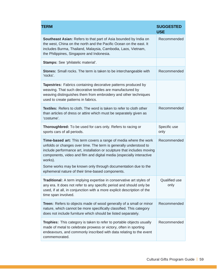| <b>TERM</b>                                                                                                                                                                                                                                                                                                                                                          | <b>SUGGESTED</b><br><b>USE</b> |
|----------------------------------------------------------------------------------------------------------------------------------------------------------------------------------------------------------------------------------------------------------------------------------------------------------------------------------------------------------------------|--------------------------------|
| Southeast Asian: Refers to that part of Asia bounded by India on<br>the west, China on the north and the Pacific Ocean on the east. It<br>includes Burma, Thailand, Malaysia, Cambodia, Laos, Vietnam,<br>the Philippines, Singapore and Indonesia.                                                                                                                  | Recommended                    |
| Stamps: See 'philatelic material'.                                                                                                                                                                                                                                                                                                                                   |                                |
| Stones: Small rocks. The term is taken to be interchangeable with<br>'rocks'.                                                                                                                                                                                                                                                                                        | Recommended                    |
| Tapestries: Fabrics containing decorative patterns produced by<br>weaving. That such decorative textiles are manufactured by<br>weaving distinguishes them from embroidery and other techniques<br>used to create patterns in fabrics.                                                                                                                               |                                |
| Textiles: Refers to cloth. The word is taken to refer to cloth other<br>than articles of dress or attire which must be separately given as<br>'costume'.                                                                                                                                                                                                             | Recommended                    |
| Thoroughbred: To be used for cars only. Refers to racing or<br>sports cars of all periods.                                                                                                                                                                                                                                                                           | Specific use<br>only           |
| Time-based art: This term covers a range of media where the work<br>unfolds or changes over time. The term is generally understood to<br>include performance art, installation or sculpture that includes moving<br>components, video and film and digital media (especially interactive<br>works).<br>Some works may be known only through documentation due to the | Recommended                    |
| ephemeral nature of their time-based components.                                                                                                                                                                                                                                                                                                                     |                                |
| Traditional: A term implying expertise in conservative art styles of<br>any era. It does not refer to any specific period and should only be<br>used, if at all, in conjunction with a more explicit description of the<br>time span involved.                                                                                                                       | Qualified use<br>only          |
| Treen: Refers to objects made of wood generally of a small or minor<br>nature, which cannot be more specifically classified. This category<br>does not include furniture which should be listed separately.                                                                                                                                                          | Recommended                    |
| Trophies: This category is taken to refer to portable objects usually<br>made of metal to celebrate prowess or victory, often in sporting<br>endeavours, and commonly inscribed with data relating to the event<br>commemorated.                                                                                                                                     | Recommended                    |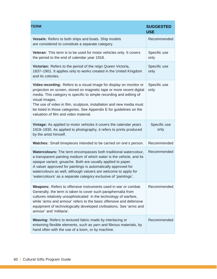| <b>TERM</b>                                                                                                                                                                                                                                                                                                                                                                                                                  | <b>SUGGESTED</b><br><b>USE</b> |
|------------------------------------------------------------------------------------------------------------------------------------------------------------------------------------------------------------------------------------------------------------------------------------------------------------------------------------------------------------------------------------------------------------------------------|--------------------------------|
| Vessels: Refers to both ships and boats. Ship models<br>are considered to constitute a separate category.                                                                                                                                                                                                                                                                                                                    | Recommended                    |
| Veteran: This term is to be used for motor vehicles only. It covers<br>the period to the end of calendar year 1918.                                                                                                                                                                                                                                                                                                          | Specific use<br>only           |
| Victorian: Refers to the period of the reign Queen Victoria,<br>1837-1901. It applies only to works created in the United Kingdom<br>and its colonies.                                                                                                                                                                                                                                                                       | Specific use<br>only           |
| Video recording: Refers to a visual image for display on monitor or<br>projection on screen, stored on magnetic tape or more recent digital<br>media. This category is specific to simple recording and editing of<br>visual images.<br>The use of video in film, sculpture, installation and new media must<br>be listed in those categories. See Appendix E for guidelines on the<br>valuation of film and video material. | Specific use<br>only           |
| Vintage: As applied to motor vehicles it covers the calendar years<br>1919-1930. As applied to photography, it refers to prints produced<br>by the artist himself.                                                                                                                                                                                                                                                           | Specific use<br>only           |
| Watches: Small timepieces intended to be carried on one's person.                                                                                                                                                                                                                                                                                                                                                            | Recommended                    |
| Watercolours: The term encompasses both traditional watercolour,<br>a transparent painting medium of which water is the vehicle, and its<br>opaque variant, gouache. Both are usually applied to paper.<br>A valuer approved for paintings is automatically approved for<br>watercolours as well, although valuers are welcome to apply for<br>'watercolours' as a separate category exclusive of 'paintings'.               | Recommended                    |
| Weapons: Refers to offensive instruments used in war or combat.<br>Generally, the term is taken to cover such paraphernalia from<br>cultures relatively unsophisticated in the technology of warfare,<br>while 'arms and armour' refers to the basic offensive and defensive<br>equipment of technologically developed civilisations. See 'arms and<br>armour' and 'militaria'.                                              | Recommended                    |
| Weaving: Refers to textured fabric made by interlacing or<br>entwining flexible elements, such as yarn and fibrous materials, by<br>hand often with the use of a loom, or by machine.                                                                                                                                                                                                                                        | Recommended                    |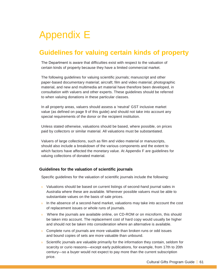# Appendix E

## **Guidelines for valuing certain kinds of property**

The Department is aware that difficulties exist with respect to the valuation of certain kinds of property because they have a limited commercial market.

The following guidelines for valuing scientific journals; manuscript and other paper-based documentary material; aircraft; film and video material; photographic material, and new and multimedia art material have therefore been developed, in consultation with valuers and other experts. These guidelines should be referred to when valuing donations in these particular classes.

In all property areas, valuers should assess a 'neutral' GST inclusive market value (as defined on page 9 of this guide) and should not take into account any special requirements of the donor or the recipient institution.

Unless stated otherwise, valuations should be based, where possible, on prices paid by collectors or similar material. All valuations must be substantiated.

Valuers of large collections, such as film and video material or manuscripts, should also include a breakdown of the various components and the extent to which factors have affected the monetary value. At Appendix F are guidelines for valuing collections of donated material.

### **Guidelines for the valuation of scientific journals**

Specific guidelines for the valuation of scientific journals include the following:

- w Valuations should be based on current listings of second-hand journal sales in Australia where these are available. Wherever possible valuers must be able to substantiate values on the basis of sale prices.
- $w$  In the absence of a second-hand market, valuations may take into account the cost of replacement issues or whole runs of journals.
- w Where the journals are available online, on CD-ROM or on microform, this should be taken into account. The replacement cost of hard copy would usually be higher and should not be taken into consideration where an alternative is available.
- w Complete runs of journals are more valuable than broken runs or odd issues and bound copies of sets are more valuable than unbound.
- $w$  Scientific journals are valuable primarily for the information they contain, seldom for scarcity or curio reasons—except early publications, for example, from 17th to 20th century—so a buyer would not expect to pay more than the current subscription price.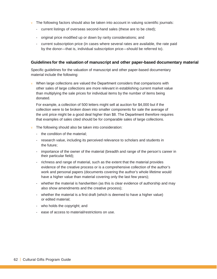- w The following factors should also be taken into account in valuing scientific journals:
	- current listings of overseas second-hand sales (these are to be cited);
	- original price modified up or down by rarity considerations; and
	- current subscription price (in cases where several rates are available, the rate paid by the donor—that is, individual subscription price—should be referred to).

#### **Guidelines for the valuation of manuscript and other paper-based documentary material**

Specific guidelines for the valuation of manuscript and other paper-based documentary material include the following:

w When large collections are valued the Department considers that comparisons with other sales of large collections are more relevant in establishing current market value than multiplying the sale prices for individual items by the number of items being donated.

For example, a collection of 500 letters might sell at auction for \$4,000 but if the collection were to be broken down into smaller components for sale the average of the unit price might be a good deal higher than \$8. The Department therefore requires that examples of sales cited should be for comparable sales of large collections.

- w The following should also be taken into consideration:
	- the condition of the material;
	- research value, including its perceived relevance to scholars and students in the future;
	- importance of the owner of the material (breadth and range of the person's career in their particular field);
	- richness and range of material, such as the extent that the material provides evidence of the creative process or is a comprehensive collection of the author's work and personal papers (documents covering the author's whole lifetime would have a higher value than material covering only the last few years);
	- whether the material is handwritten (as this is clear evidence of authorship and may also show amendments and the creative process);
	- whether the material is a first draft (which is deemed to have a higher value) or edited material;
	- who holds the copyright; and
	- ease of access to material/restrictions on use.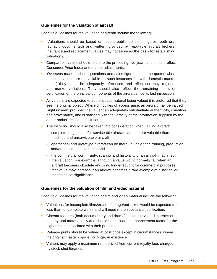### **Guidelines for the valuation of aircraft**

Specific guidelines for the valuation of aircraft include the following:

- Valuations should be based on recent published sales figures, both oral (suitably documented) and written, provided by reputable aircraft brokers. Insurance and replacement values may not serve as the basis for establishing valuations.
- w Comparable values should relate to the preceding five years and should reflect Consumer Price Index and market adjustments.
- w Overseas market prices, quotations and sales figures should be quoted when domestic values are unavailable. In such instances (as with domestic market prices) they should be adequately referenced, and reflect currency, regional and market variations. They should also reflect the remaining hours of certification of the principal components of the aircraft since its last inspection.
- $w$  As valuers are expected to authenticate material being valued it is preferred that they see the original object. Where difficulties of access arise, an aircraft may be valued 'sight unseen' provided the valuer can adequately substantiate authenticity, condition and provenance, and is satisfied with the veracity of the information supplied by the donor and/or recipient institution.
- The following should also be taken into consideration when valuing aircraft:
	- complete, original and/or serviceable aircraft can be more valuable than modified and unserviceable aircraft;
	- operational and prototype aircraft can be more valuable than training, production and/or instructional variants; and
	- the commercial worth, rarity, scarcity and historicity of an aircraft may affect the valuation. For example, although a value would normally fall when an aircraft becomes obsolete and is no longer sought for commercial purposes, that value may increase if an aircraft becomes a rare example of historical or technological significance.

#### **Guidelines for the valuation of film and video material**

Specific guidelines for the valuation of film and video material include the following:

- w Valuations for incomplete films/excess footage/out-takes would be expected to be less than for complete works and will need more substantial justification.
- w Cinema features (both documentary and drama) should be valued in terms of the physical material only and should not include an enhancement factor for the higher costs associated with their production.
- w Release prints should be valued at cost price except in circumstances where the original/master copy is no longer in existence.
- w Valuers may apply a maximum rate derived from current royalty fees charged by stock shot libraries.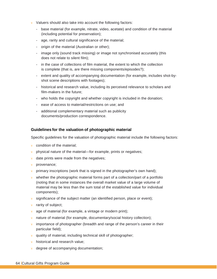- $w$  Valuers should also take into account the following factors:
	- base material (for example, nitrate, video, acetate) and condition of the material (including potential for preservation);
	- age, rarity and cultural significance of the material;
	- origin of the material (Australian or other);
	- image only (sound track missing) or image not synchronised accurately (this does not relate to silent film);
	- in the case of collections of film material, the extent to which the collection is complete (that is, are there missing components/episodes?);
	- extent and quality of accompanying documentation (for example, includes shot-byshot scene descriptions with footages);
	- historical and research value, including its perceived relevance to scholars and film-makers in the future;
	- who holds the copyright and whether copyright is included in the donation;
	- ease of access to material/restrictions on use; and
	- additional complementary material such as publicity documents/production correspondence.

#### **Guidelines for the valuation of photographic material**

Specific guidelines for the valuation of photographic material include the following factors:

- w condition of the material;
- physical nature of the material—for example, prints or negatives;
- date prints were made from the negatives;
- w provenance;
- w primary inscriptions (work that is signed in the photographer's own hand);
- w whether the photographic material forms part of a collection/part of a portfolio (noting that in some instances the overall market value of a large volume of material may be less than the sum total of the established value for individual components);
- w significance of the subject matter (an identified person, place or event);
- w rarity of subject;
- w age of material (for example, a vintage or modern print);
- nature of material (for example, documentary/social history collection);
- w importance of photographer (breadth and range of the person's career in their particular field);
- w quality of material, including technical skill of photographer;
- w historical and research value;
- w degree of accompanying documentation;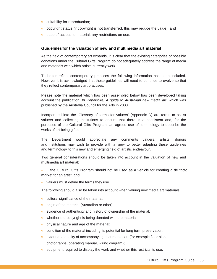- w suitability for reproduction;
- w copyright status (if copyright is not transferred, this may reduce the value); and
- w ease of access to material; any restrictions on use.

### **Guidelines for the valuation of new and multimedia art material**

As the field of contemporary art expands, it is clear that the existing categories of possible donations under the Cultural Gifts Program do not adequately address the range of media and materials with which artists currently work.

To better reflect contemporary practices the following information has been included. However it is acknowledged that these guidelines will need to continue to evolve so that they reflect contemporary art practises.

Please note the material which has been assembled below has been developed taking account the publication, *In Repertoire, A guide to Australian new media art*, which was published by the Australia Council for the Arts in 2003.

Incorporated into the 'Glossary of terms for valuers' (Appendix D) are terms to assist valuers and collecting institutions to ensure that there is a consistent and, for the purposes of the Cultural Gifts Program, an agreed use of terminology to describe the works of art being gifted.

The Department would appreciate any comments valuers, artists, donors and institutions may wish to provide with a view to better adapting these guidelines and terminology to this new and emerging field of artistic endeavour.

Two general considerations should be taken into account in the valuation of new and multimedia art material:

- the Cultural Gifts Program should not be used as a vehicle for creating a de facto market for an artist; and
- $w$  valuers must define the terms they use.

The following should also be taken into account when valuing new media art materials:

- w cultural significance of the material;
- w origin of the material (Australian or other);
- w evidence of authenticity and history of ownership of the material;
- w whether the copyright is being donated with the material;
- w physical nature and age of the material;
- w condition of the material including its potential for long term preservation;
- extent and quality of accompanying documentation (for example floor plan, photographs, operating manual, wiring diagram);
- w equipment required to display the work and whether this restricts its use;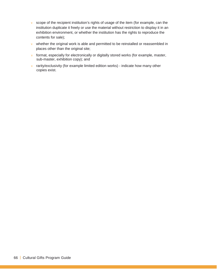- w scope of the recipient institution's rights of usage of the item (for example, can the institution duplicate it freely or use the material without restriction to display it in an exhibition environment, or whether the institution has the rights to reproduce the contents for sale);
- w whether the original work is able and permitted to be reinstalled or reassembled in places other than the original site;
- $w$  format, especially for electronically or digitally stored works (for example, master, sub-master, exhibition copy); and
- w rarity/exclusivity (for example limited edition works) indicate how many other copies exist.